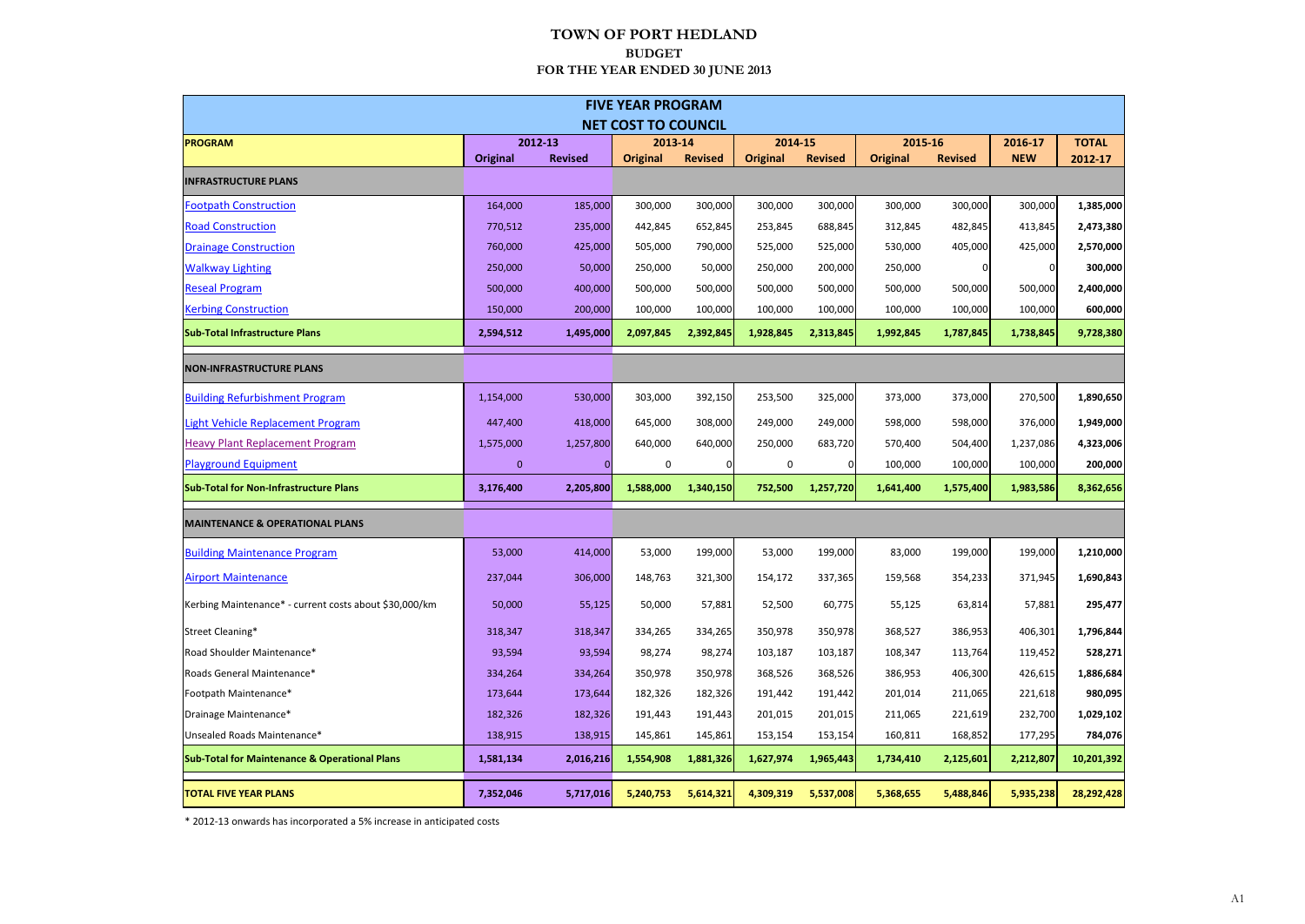|                                                          |                 |                | <b>FIVE YEAR PROGRAM</b>   |                |                 |                |                 |                |            |              |
|----------------------------------------------------------|-----------------|----------------|----------------------------|----------------|-----------------|----------------|-----------------|----------------|------------|--------------|
|                                                          |                 |                | <b>NET COST TO COUNCIL</b> |                |                 |                |                 |                |            |              |
| <b>PROGRAM</b>                                           |                 | 2012-13        | 2013-14                    |                | 2014-15         |                | 2015-16         |                | 2016-17    | <b>TOTAL</b> |
|                                                          | <b>Original</b> | <b>Revised</b> | <b>Original</b>            | <b>Revised</b> | <b>Original</b> | <b>Revised</b> | <b>Original</b> | <b>Revised</b> | <b>NEW</b> | 2012-17      |
| <b>INFRASTRUCTURE PLANS</b>                              |                 |                |                            |                |                 |                |                 |                |            |              |
| <b>Footpath Construction</b>                             | 164,000         | 185,000        | 300,000                    | 300,000        | 300,000         | 300,000        | 300,000         | 300,000        | 300,000    | 1,385,000    |
| <b>Road Construction</b>                                 | 770,512         | 235,000        | 442,845                    | 652,845        | 253,845         | 688,845        | 312,845         | 482,845        | 413,845    | 2,473,380    |
| <b>Drainage Construction</b>                             | 760,000         | 425,000        | 505,000                    | 790,000        | 525,000         | 525,000        | 530,000         | 405,000        | 425,000    | 2,570,000    |
| <b>Walkway Lighting</b>                                  | 250,000         | 50,000         | 250,000                    | 50,000         | 250,000         | 200,000        | 250,000         | 0              |            | 300,000      |
| <b>Reseal Program</b>                                    | 500,000         | 400,000        | 500,000                    | 500,000        | 500,000         | 500,000        | 500,000         | 500,000        | 500,000    | 2,400,000    |
| <b>Kerbing Construction</b>                              | 150,000         | 200,000        | 100,000                    | 100,000        | 100,000         | 100,000        | 100,000         | 100,000        | 100,000    | 600,000      |
| <b>Sub-Total Infrastructure Plans</b>                    | 2,594,512       | 1,495,000      | 2,097,845                  | 2,392,845      | 1,928,845       | 2,313,845      | 1,992,845       | 1,787,845      | 1,738,845  | 9,728,380    |
| <b>NON-INFRASTRUCTURE PLANS</b>                          |                 |                |                            |                |                 |                |                 |                |            |              |
| <b>Building Refurbishment Program</b>                    | 1,154,000       | 530,000        | 303,000                    | 392,150        | 253,500         | 325,000        | 373,000         | 373,000        | 270,500    | 1,890,650    |
| Light Vehicle Replacement Program                        | 447,400         | 418,000        | 645,000                    | 308,000        | 249,000         | 249,000        | 598,000         | 598,000        | 376,000    | 1,949,000    |
| <b>Heavy Plant Replacement Program</b>                   | 1,575,000       | 1,257,800      | 640,000                    | 640,000        | 250,000         | 683,720        | 570,400         | 504,400        | 1,237,086  | 4,323,006    |
| <b>Playground Equipment</b>                              | $\mathbf{0}$    |                | 0                          |                | 0               | 0              | 100,000         | 100,000        | 100,000    | 200,000      |
| <b>Sub-Total for Non-Infrastructure Plans</b>            | 3,176,400       | 2,205,800      | 1,588,000                  | 1,340,150      | 752,500         | 1,257,720      | 1,641,400       | 1,575,400      | 1,983,586  | 8,362,656    |
| <b>MAINTENANCE &amp; OPERATIONAL PLANS</b>               |                 |                |                            |                |                 |                |                 |                |            |              |
| <b>Building Maintenance Program</b>                      | 53,000          | 414,000        | 53,000                     | 199,000        | 53,000          | 199,000        | 83,000          | 199,000        | 199,000    | 1,210,000    |
| <b>Airport Maintenance</b>                               | 237,044         | 306,000        | 148,763                    | 321,300        | 154,172         | 337,365        | 159,568         | 354,233        | 371,945    | 1,690,843    |
| Kerbing Maintenance* - current costs about \$30,000/km   | 50,000          | 55,125         | 50,000                     | 57,881         | 52,500          | 60,775         | 55,125          | 63,814         | 57,881     | 295,477      |
| Street Cleaning*                                         | 318,347         | 318,347        | 334,265                    | 334,265        | 350,978         | 350,978        | 368,527         | 386,953        | 406,301    | 1,796,844    |
| Road Shoulder Maintenance*                               | 93,594          | 93,594         | 98,274                     | 98,274         | 103,187         | 103,187        | 108,347         | 113,764        | 119,452    | 528,271      |
| Roads General Maintenance*                               | 334,264         | 334,264        | 350,978                    | 350,978        | 368,526         | 368,526        | 386,953         | 406,300        | 426,615    | 1,886,684    |
| Footpath Maintenance*                                    | 173,644         | 173,644        | 182,326                    | 182,326        | 191,442         | 191,442        | 201,014         | 211,065        | 221,618    | 980,095      |
| Drainage Maintenance*                                    | 182,326         | 182,326        | 191,443                    | 191,443        | 201,015         | 201,015        | 211,065         | 221,619        | 232,700    | 1,029,102    |
| Unsealed Roads Maintenance*                              | 138,915         | 138,915        | 145,861                    | 145,861        | 153,154         | 153,154        | 160,811         | 168,852        | 177,295    | 784,076      |
| <b>Sub-Total for Maintenance &amp; Operational Plans</b> | 1,581,134       | 2,016,216      | 1,554,908                  | 1,881,326      | 1,627,974       | 1,965,443      | 1,734,410       | 2,125,601      | 2,212,807  | 10,201,392   |
| <b>TOTAL FIVE YEAR PLANS</b>                             | 7,352,046       | 5,717,016      | 5,240,753                  | 5,614,321      | 4,309,319       | 5,537,008      | 5,368,655       | 5,488,846      | 5,935,238  | 28,292,428   |

\* 2012-13 onwards has incorporated a 5% increase in anticipated costs

#### **TOWN OF PORT HEDLAND BUDGET FOR THE YEAR ENDED 30 JUNE 2013**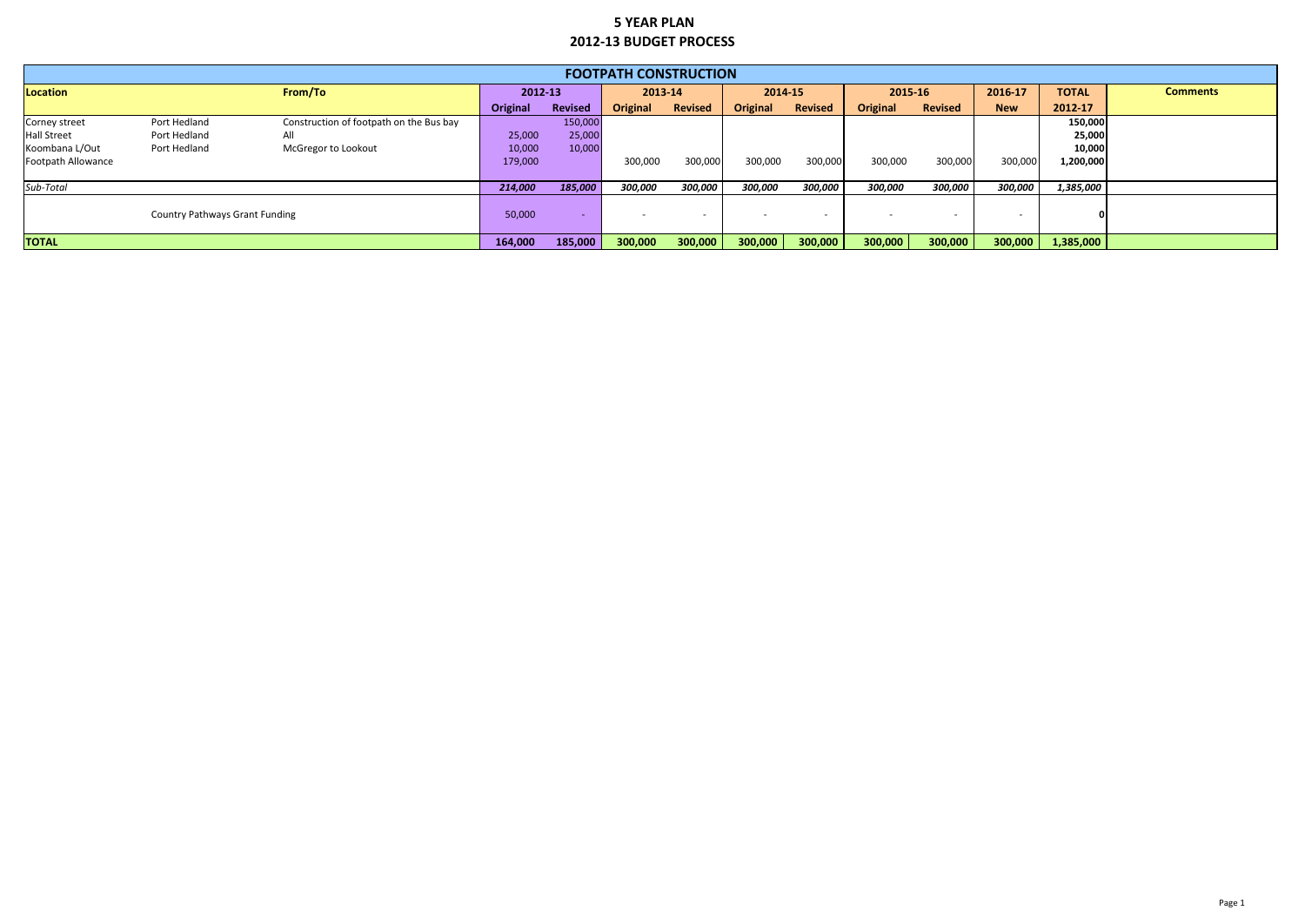|                    |                                       |                                         |          |                | <b>FOOTPATH CONSTRUCTION</b> |                          |                 |                |                 |                |            |              |                 |
|--------------------|---------------------------------------|-----------------------------------------|----------|----------------|------------------------------|--------------------------|-----------------|----------------|-----------------|----------------|------------|--------------|-----------------|
| Location           |                                       | From/To                                 | 2012-13  |                | 2013-14                      |                          | 2014-15         |                | 2015-16         |                | 2016-17    | <b>TOTAL</b> | <b>Comments</b> |
|                    |                                       |                                         | Original | <b>Revised</b> | <b>Original</b>              | <b>Revised</b>           | <b>Original</b> | <b>Revised</b> | <b>Original</b> | <b>Revised</b> | <b>New</b> | 2012-17      |                 |
| Corney street      | Port Hedland                          | Construction of footpath on the Bus bay |          | 150,000        |                              |                          |                 |                |                 |                |            | 150,000      |                 |
| <b>Hall Street</b> | Port Hedland                          | All                                     | 25,000   | 25,000         |                              |                          |                 |                |                 |                |            | 25,000       |                 |
| Koombana L/Out     | Port Hedland                          | McGregor to Lookout                     | 10,000   | 10,000         |                              |                          |                 |                |                 |                |            | 10,000       |                 |
| Footpath Allowance |                                       |                                         | 179,000  |                | 300,000                      | 300,000                  | 300,000         | 300,000        | 300,000         | 300,000        | 300,000    | 1,200,000    |                 |
| Sub-Total          |                                       |                                         | 214,000  | 185,000        | 300,000                      | 300,000                  | 300,000         | 300,000        | 300,000         | 300,000        | 300,000    | 1,385,000    |                 |
|                    | <b>Country Pathways Grant Funding</b> |                                         | 50,000   |                |                              | $\overline{\phantom{0}}$ |                 |                |                 |                |            |              |                 |
| <b>TOTAL</b>       |                                       |                                         | 164,000  | 185,000        | 300,000                      | 300,000                  | 300,000         | 300,000        | 300,000         | 300,000        | 300,000    | 1,385,000    |                 |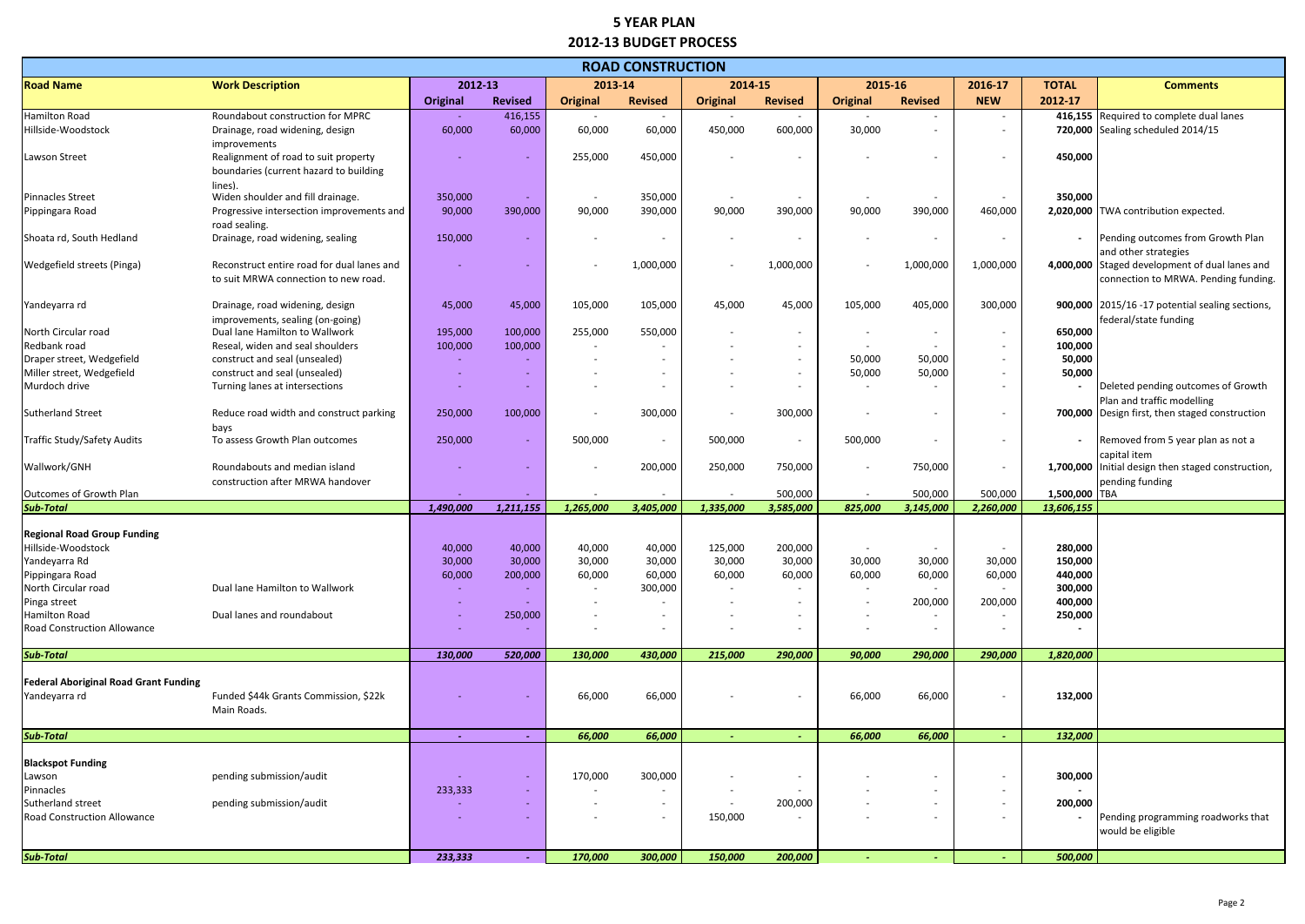|                                                     |                                                   |           |                          |                          | <b>ROAD CONSTRUCTION</b> |                          |                          |                          |                |                          |               |                                                                    |
|-----------------------------------------------------|---------------------------------------------------|-----------|--------------------------|--------------------------|--------------------------|--------------------------|--------------------------|--------------------------|----------------|--------------------------|---------------|--------------------------------------------------------------------|
| <b>Road Name</b>                                    | <b>Work Description</b>                           | 2012-13   |                          | 2013-14                  |                          | 2014-15                  |                          | 2015-16                  |                | 2016-17                  | <b>TOTAL</b>  | <b>Comments</b>                                                    |
|                                                     |                                                   | Original  | <b>Revised</b>           | <b>Original</b>          | <b>Revised</b>           | <b>Original</b>          | <b>Revised</b>           | Original                 | <b>Revised</b> | <b>NEW</b>               | 2012-17       |                                                                    |
| Hamilton Road                                       | Roundabout construction for MPRC                  |           | 416,155                  | $\overline{\phantom{a}}$ | $\overline{\phantom{a}}$ | $\overline{\phantom{a}}$ | $\sim$                   | $\sim$                   |                | $\sim$                   | 416,155       | Required to complete dual lanes                                    |
| Hillside-Woodstock                                  | Drainage, road widening, design                   | 60,000    | 60,000                   | 60,000                   | 60,000                   | 450,000                  | 600,000                  | 30,000                   |                |                          |               | 720,000 Sealing scheduled 2014/15                                  |
|                                                     | improvements                                      |           |                          |                          |                          |                          |                          |                          |                |                          |               |                                                                    |
| Lawson Street                                       | Realignment of road to suit property              |           |                          | 255,000                  | 450,000                  |                          |                          |                          |                |                          | 450,000       |                                                                    |
|                                                     | boundaries (current hazard to building            |           |                          |                          |                          |                          |                          |                          |                |                          |               |                                                                    |
|                                                     | lines).                                           |           |                          |                          |                          |                          |                          |                          |                |                          |               |                                                                    |
| <b>Pinnacles Street</b>                             | Widen shoulder and fill drainage.                 | 350,000   | $\sim$                   |                          | 350,000                  |                          | $\sim$                   |                          |                |                          | 350,000       |                                                                    |
| Pippingara Road                                     | Progressive intersection improvements and         | 90,000    | 390,000                  | 90,000                   | 390,000                  | 90,000                   | 390,000                  | 90,000                   | 390,000        | 460,000                  |               | 2,020,000 TWA contribution expected.                               |
| Shoata rd, South Hedland                            | road sealing.<br>Drainage, road widening, sealing | 150,000   |                          |                          |                          |                          |                          |                          |                |                          |               | Pending outcomes from Growth Plan                                  |
|                                                     |                                                   |           |                          |                          |                          |                          | $\overline{\phantom{a}}$ |                          |                |                          |               | and other strategies                                               |
| Wedgefield streets (Pinga)                          | Reconstruct entire road for dual lanes and        |           |                          |                          | 1,000,000                |                          | 1,000,000                |                          | 1,000,000      | 1,000,000                |               | 4,000,000 Staged development of dual lanes and                     |
|                                                     | to suit MRWA connection to new road.              |           |                          |                          |                          |                          |                          |                          |                |                          |               | connection to MRWA. Pending funding.                               |
|                                                     |                                                   |           |                          |                          |                          |                          |                          |                          |                |                          |               |                                                                    |
| Yandeyarra rd                                       | Drainage, road widening, design                   | 45,000    | 45,000                   | 105,000                  | 105,000                  | 45,000                   | 45,000                   | 105,000                  | 405,000        | 300,000                  |               | 900,000 2015/16 -17 potential sealing sections,                    |
|                                                     | improvements, sealing (on-going)                  |           |                          |                          |                          |                          |                          |                          |                |                          |               | federal/state funding                                              |
| North Circular road                                 | Dual lane Hamilton to Wallwork                    | 195,000   | 100,000                  | 255,000                  | 550,000                  |                          | $\sim$                   |                          |                |                          | 650,000       |                                                                    |
| Redbank road                                        | Reseal, widen and seal shoulders                  | 100,000   | 100,000                  | $\overline{\phantom{a}}$ |                          |                          | $\sim$                   |                          |                | $\overline{\phantom{0}}$ | 100,000       |                                                                    |
| Draper street, Wedgefield                           | construct and seal (unsealed)                     |           |                          |                          | $\overline{\phantom{a}}$ |                          | $\sim$                   | 50,000                   | 50,000         | $\overline{\phantom{0}}$ | 50,000        |                                                                    |
| Miller street, Wedgefield                           | construct and seal (unsealed)                     |           | $\overline{\phantom{a}}$ |                          | $\overline{\phantom{a}}$ |                          | $\sim$                   | 50,000                   | 50,000         | $\overline{\phantom{0}}$ | 50,000        |                                                                    |
| Murdoch drive                                       | Turning lanes at intersections                    |           |                          |                          |                          |                          | $\overline{\phantom{a}}$ | $\overline{\phantom{0}}$ |                | $\overline{\phantom{0}}$ |               | Deleted pending outcomes of Growth                                 |
|                                                     |                                                   |           |                          |                          |                          |                          |                          |                          |                |                          |               | Plan and traffic modelling                                         |
| <b>Sutherland Street</b>                            | Reduce road width and construct parking           | 250,000   | 100,000                  |                          | 300,000                  |                          | 300,000                  |                          |                |                          |               | 700,000 Design first, then staged construction                     |
|                                                     | bays<br>To assess Growth Plan outcomes            |           |                          |                          |                          |                          |                          |                          |                |                          |               |                                                                    |
| Traffic Study/Safety Audits                         |                                                   | 250,000   | $\overline{\phantom{a}}$ | 500,000                  | $\overline{\phantom{a}}$ | 500,000                  | $\overline{\phantom{a}}$ | 500,000                  |                |                          |               | Removed from 5 year plan as not a                                  |
| Wallwork/GNH                                        | Roundabouts and median island                     |           |                          |                          | 200,000                  | 250,000                  | 750,000                  |                          | 750,000        |                          |               | capital item<br>1,700,000 Initial design then staged construction, |
|                                                     | construction after MRWA handover                  |           |                          |                          |                          |                          |                          |                          |                |                          |               | pending funding                                                    |
| <b>Outcomes of Growth Plan</b>                      |                                                   |           |                          |                          |                          |                          | 500,000                  |                          | 500,000        | 500,000                  | 1,500,000 TBA |                                                                    |
| <b>Sub-Total</b>                                    |                                                   | 1,490,000 | 1,211,155                | 1,265,000                | 3,405,000                | 1,335,000                | 3,585,000                | 825,000                  | 3,145,000      | 2,260,000                | 13,606,155    |                                                                    |
|                                                     |                                                   |           |                          |                          |                          |                          |                          |                          |                |                          |               |                                                                    |
| <b>Regional Road Group Funding</b>                  |                                                   |           |                          |                          |                          |                          |                          |                          |                |                          |               |                                                                    |
| Hillside-Woodstock                                  |                                                   | 40,000    | 40,000                   | 40,000                   | 40,000                   | 125,000                  | 200,000                  |                          |                |                          | 280,000       |                                                                    |
| Yandeyarra Rd                                       |                                                   | 30,000    | 30,000                   | 30,000                   | 30,000                   | 30,000                   | 30,000                   | 30,000                   | 30,000         | 30,000                   | 150,000       |                                                                    |
| Pippingara Road                                     |                                                   | 60,000    | 200,000                  | 60,000                   | 60,000                   | 60,000                   | 60,000                   | 60,000                   | 60,000         | 60,000                   | 440,000       |                                                                    |
| North Circular road                                 | Dual lane Hamilton to Wallwork                    |           |                          |                          | 300,000                  |                          |                          |                          |                |                          | 300,000       |                                                                    |
| Pinga street                                        |                                                   |           |                          |                          |                          |                          |                          |                          | 200,000        | 200,000                  | 400,000       |                                                                    |
| Hamilton Road<br><b>Road Construction Allowance</b> | Dual lanes and roundabout                         |           | 250,000                  |                          | $\overline{\phantom{a}}$ |                          | $\sim$<br>$\sim$         |                          |                |                          | 250,000       |                                                                    |
|                                                     |                                                   |           |                          |                          |                          |                          |                          |                          |                |                          |               |                                                                    |
| <b>Sub-Total</b>                                    |                                                   | 130,000   | 520,000                  | 130,000                  | 430,000                  | 215,000                  | 290,000                  | 90,000                   | 290,000        | 290,000                  | 1,820,000     |                                                                    |
|                                                     |                                                   |           |                          |                          |                          |                          |                          |                          |                |                          |               |                                                                    |
| <b>Federal Aboriginal Road Grant Funding</b>        |                                                   |           |                          |                          |                          |                          |                          |                          |                |                          |               |                                                                    |
| Yandeyarra rd                                       | Funded \$44k Grants Commission, \$22k             |           |                          | 66,000                   | 66,000                   |                          | $\overline{\phantom{a}}$ | 66,000                   | 66,000         |                          | 132,000       |                                                                    |
|                                                     | Main Roads.                                       |           |                          |                          |                          |                          |                          |                          |                |                          |               |                                                                    |
| <b>Sub-Total</b>                                    |                                                   | $\sim$    |                          | 66,000                   | 66,000                   |                          |                          | 66,000                   | 66,000         |                          | 132,000       |                                                                    |
|                                                     |                                                   |           |                          |                          |                          |                          |                          |                          |                |                          |               |                                                                    |
| <b>Blackspot Funding</b>                            |                                                   |           |                          |                          |                          |                          |                          |                          |                |                          |               |                                                                    |
| Lawson                                              | pending submission/audit                          |           |                          | 170,000                  | 300,000                  |                          |                          |                          |                |                          | 300,000       |                                                                    |
| Pinnacles                                           |                                                   | 233,333   | $\sim$                   |                          |                          |                          |                          |                          |                |                          |               |                                                                    |
| Sutherland street                                   | pending submission/audit                          |           | $\sim$                   | $\overline{\phantom{a}}$ | $\overline{\phantom{a}}$ | $\sim$                   | 200,000                  |                          |                | $\overline{\phantom{0}}$ | 200,000       |                                                                    |
| Road Construction Allowance                         |                                                   |           |                          |                          |                          | 150,000                  |                          |                          |                |                          |               | Pending programming roadworks that                                 |
|                                                     |                                                   |           |                          |                          |                          |                          |                          |                          |                |                          |               | would be eligible                                                  |
|                                                     |                                                   |           |                          |                          |                          |                          |                          |                          |                |                          |               |                                                                    |
| <b>Sub-Total</b>                                    |                                                   | 233,333   | $\sim$                   | 170,000                  | 300,000                  | 150,000                  | 200,000                  | $\sim$                   |                |                          | 500,000       |                                                                    |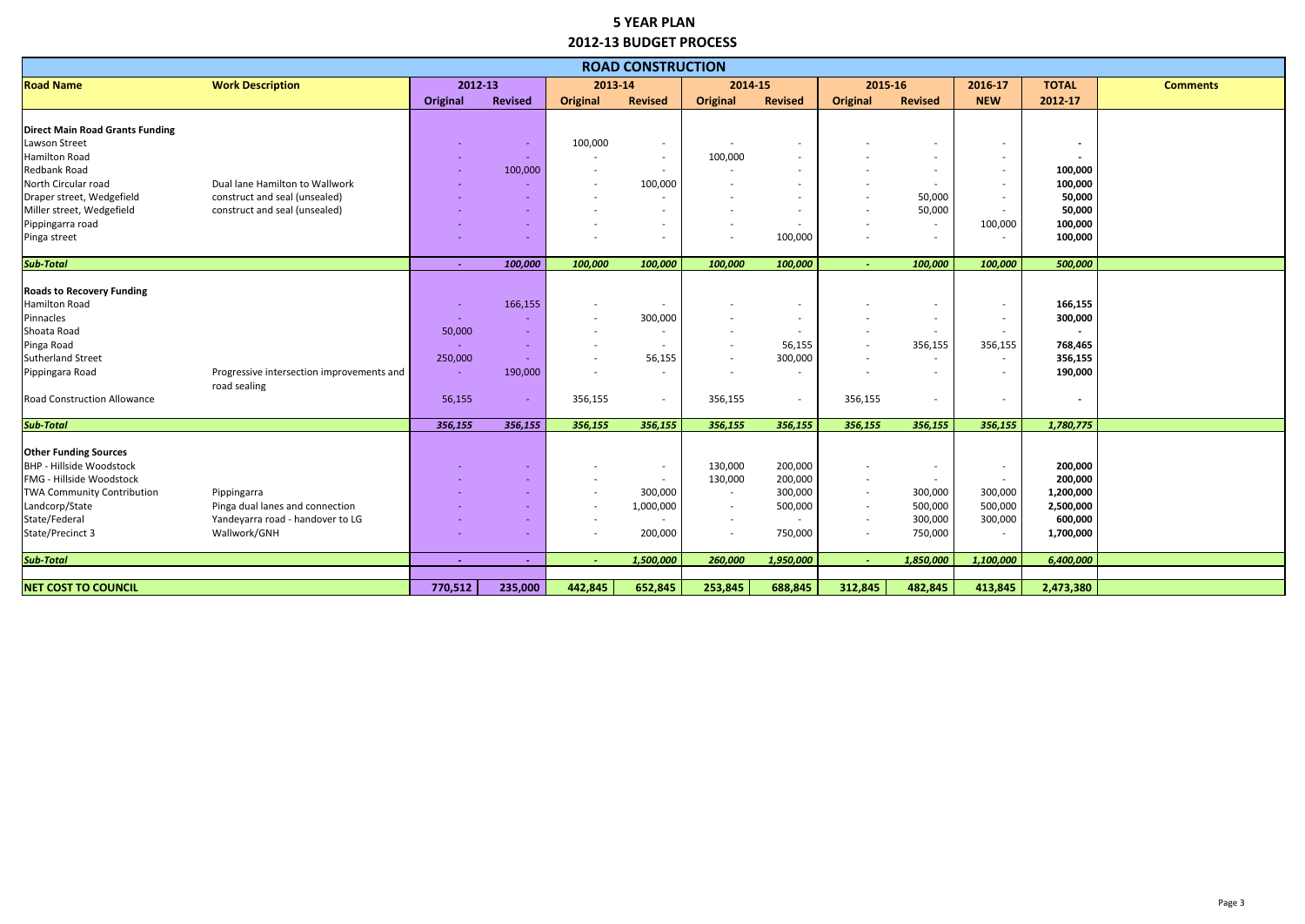|                                        |                                           |                 |                |                          | <b>ROAD CONSTRUCTION</b> |                          |                          |                          |                          |                          |              |                 |
|----------------------------------------|-------------------------------------------|-----------------|----------------|--------------------------|--------------------------|--------------------------|--------------------------|--------------------------|--------------------------|--------------------------|--------------|-----------------|
| <b>Road Name</b>                       | <b>Work Description</b>                   | 2012-13         |                | 2013-14                  |                          | 2014-15                  |                          | 2015-16                  |                          | 2016-17                  | <b>TOTAL</b> | <b>Comments</b> |
|                                        |                                           | <b>Original</b> | <b>Revised</b> | <b>Original</b>          | <b>Revised</b>           | <b>Original</b>          | <b>Revised</b>           | <b>Original</b>          | <b>Revised</b>           | <b>NEW</b>               | 2012-17      |                 |
|                                        |                                           |                 |                |                          |                          |                          |                          |                          |                          |                          |              |                 |
| <b>Direct Main Road Grants Funding</b> |                                           |                 |                |                          |                          |                          |                          |                          |                          |                          |              |                 |
| Lawson Street                          |                                           |                 |                | 100,000                  |                          |                          |                          |                          |                          |                          |              |                 |
| Hamilton Road                          |                                           |                 |                |                          | $\overline{\phantom{a}}$ | 100,000                  | $\sim$                   |                          |                          | $\overline{\phantom{0}}$ |              |                 |
| Redbank Road                           |                                           |                 | 100,000        | $\overline{\phantom{0}}$ |                          |                          | $\sim$                   |                          |                          | $\overline{\phantom{0}}$ | 100,000      |                 |
| North Circular road                    | Dual lane Hamilton to Wallwork            |                 |                |                          | 100,000                  |                          |                          |                          |                          |                          | 100,000      |                 |
| Draper street, Wedgefield              | construct and seal (unsealed)             |                 |                |                          |                          |                          |                          |                          | 50,000                   |                          | 50,000       |                 |
| Miller street, Wedgefield              | construct and seal (unsealed)             |                 | $\sim$         |                          |                          |                          | $\overline{a}$           |                          | 50,000                   |                          | 50,000       |                 |
| Pippingarra road                       |                                           |                 | $\sim$         | $\overline{\phantom{a}}$ | $\overline{\phantom{a}}$ | $\overline{\phantom{a}}$ | $\sim$                   |                          | $\sim$                   | 100,000                  | 100,000      |                 |
| Pinga street                           |                                           |                 |                |                          | $\overline{\phantom{a}}$ |                          | 100,000                  | $\overline{\phantom{a}}$ |                          |                          | 100,000      |                 |
| <b>Sub-Total</b>                       |                                           | $\sim$          | 100,000        | 100,000                  | 100,000                  | 100,000                  | 100,000                  | a.                       | 100,000                  | 100,000                  | 500,000      |                 |
|                                        |                                           |                 |                |                          |                          |                          |                          |                          |                          |                          |              |                 |
| <b>Roads to Recovery Funding</b>       |                                           |                 |                |                          |                          |                          |                          |                          |                          |                          |              |                 |
| Hamilton Road                          |                                           |                 | 166,155        |                          |                          |                          |                          |                          |                          |                          | 166,155      |                 |
| Pinnacles                              |                                           |                 |                |                          | 300,000                  |                          | $\sim$                   |                          | $\overline{\phantom{0}}$ | $\sim$                   | 300,000      |                 |
| Shoata Road                            |                                           | 50,000          |                |                          |                          |                          | $\sim$                   |                          |                          |                          |              |                 |
| Pinga Road                             |                                           |                 |                |                          |                          |                          | 56,155                   |                          | 356,155                  | 356,155                  | 768,465      |                 |
| Sutherland Street                      |                                           | 250,000         |                |                          | 56,155                   |                          | 300,000                  |                          |                          |                          | 356,155      |                 |
| Pippingara Road                        | Progressive intersection improvements and |                 | 190,000        |                          | $\overline{\phantom{a}}$ |                          | $\sim$                   |                          | $\sim$                   |                          | 190,000      |                 |
|                                        | road sealing                              |                 |                |                          |                          |                          |                          |                          |                          |                          |              |                 |
| <b>Road Construction Allowance</b>     |                                           | 56,155          |                | 356,155                  |                          | 356,155                  | $\overline{\phantom{a}}$ | 356,155                  |                          |                          |              |                 |
| <b>Sub-Total</b>                       |                                           | 356,155         | 356,155        | 356,155                  | 356,155                  | 356,155                  | 356,155                  | 356,155                  | 356,155                  | 356,155                  | 1,780,775    |                 |
|                                        |                                           |                 |                |                          |                          |                          |                          |                          |                          |                          |              |                 |
| <b>Other Funding Sources</b>           |                                           |                 |                |                          |                          |                          |                          |                          |                          |                          |              |                 |
| <b>BHP - Hillside Woodstock</b>        |                                           |                 |                |                          |                          | 130,000                  | 200,000                  |                          |                          |                          | 200,000      |                 |
| FMG - Hillside Woodstock               |                                           |                 |                |                          |                          | 130,000                  | 200,000                  | $\sim$                   | $\overline{a}$           | $\overline{\phantom{a}}$ | 200,000      |                 |
| <b>TWA Community Contribution</b>      | Pippingarra                               |                 |                |                          | 300,000                  | $\overline{\phantom{a}}$ | 300,000                  | $\sim$                   | 300,000                  | 300,000                  | 1,200,000    |                 |
| Landcorp/State                         | Pinga dual lanes and connection           |                 |                |                          | 1,000,000                |                          | 500,000                  |                          | 500,000                  | 500,000                  | 2,500,000    |                 |
| State/Federal                          | Yandeyarra road - handover to LG          |                 | $\equiv$       |                          |                          |                          |                          | $\overline{a}$           | 300,000                  | 300,000                  | 600,000      |                 |
| State/Precinct 3                       | Wallwork/GNH                              |                 |                |                          | 200,000                  | $\overline{\phantom{a}}$ | 750,000                  | $\sim$                   | 750,000                  | $\sim$                   | 1,700,000    |                 |
|                                        |                                           |                 |                |                          |                          |                          |                          |                          |                          |                          |              |                 |
| <b>Sub-Total</b>                       |                                           |                 | $\sim$         |                          | 1,500,000                | 260,000                  | 1,950,000                | $\sim$                   | 1,850,000                | 1,100,000                | 6,400,000    |                 |
| <b>NET COST TO COUNCIL</b>             |                                           | 770,512         | 235,000        | 442,845                  | 652,845                  | 253,845                  | 688,845                  | 312,845                  | 482,845                  | 413,845                  | 2,473,380    |                 |
|                                        |                                           |                 |                |                          |                          |                          |                          |                          |                          |                          |              |                 |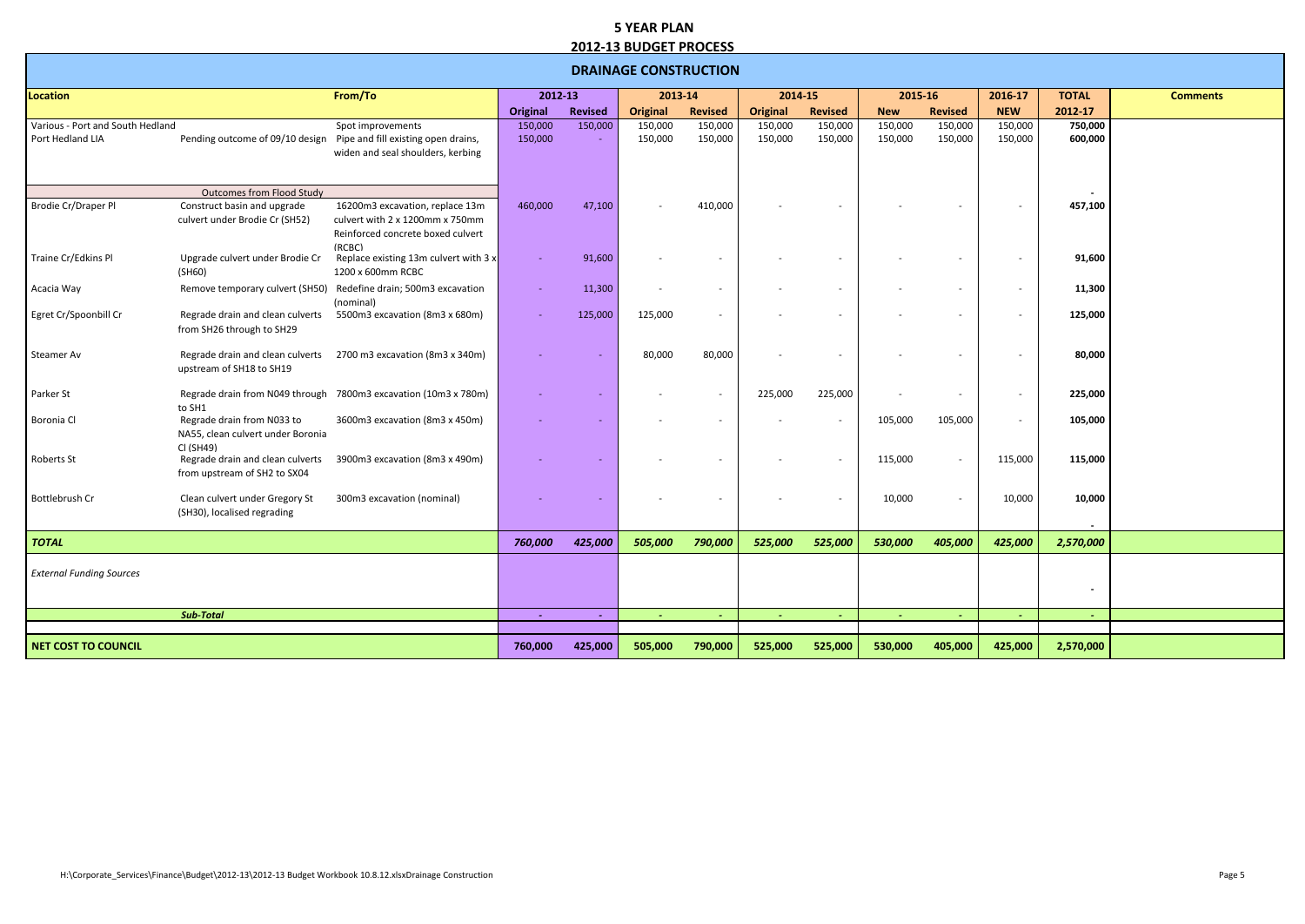|                                                      |                                                                              |                                                                                                                   |                    |                | <b>DRAINAGE CONSTRUCTION</b> |                          |                    |                          |                    |                          |                    |                    |                 |
|------------------------------------------------------|------------------------------------------------------------------------------|-------------------------------------------------------------------------------------------------------------------|--------------------|----------------|------------------------------|--------------------------|--------------------|--------------------------|--------------------|--------------------------|--------------------|--------------------|-----------------|
| Location                                             |                                                                              | From/To                                                                                                           | 2012-13            |                | 2013-14                      |                          | 2014-15            |                          | 2015-16            |                          | 2016-17            | <b>TOTAL</b>       | <b>Comments</b> |
|                                                      |                                                                              |                                                                                                                   | Original           | <b>Revised</b> | <b>Original</b>              | <b>Revised</b>           | <b>Original</b>    | <b>Revised</b>           | <b>New</b>         | <b>Revised</b>           | <b>NEW</b>         | 2012-17            |                 |
| Various - Port and South Hedland<br>Port Hedland LIA | Pending outcome of 09/10 design                                              | Spot improvements<br>Pipe and fill existing open drains,<br>widen and seal shoulders, kerbing                     | 150,000<br>150,000 | 150,000        | 150,000<br>150,000           | 150,000<br>150,000       | 150,000<br>150,000 | 150,000<br>150,000       | 150,000<br>150,000 | 150,000<br>150,000       | 150,000<br>150,000 | 750,000<br>600,000 |                 |
|                                                      | <b>Outcomes from Flood Study</b>                                             |                                                                                                                   |                    |                |                              |                          |                    |                          |                    |                          |                    |                    |                 |
| Brodie Cr/Draper Pl                                  | Construct basin and upgrade<br>culvert under Brodie Cr (SH52)                | 16200m3 excavation, replace 13m<br>culvert with 2 x 1200mm x 750mm<br>Reinforced concrete boxed culvert<br>(RCBC) | 460,000            | 47,100         |                              | 410,000                  |                    |                          |                    |                          |                    | 457,100            |                 |
| Traine Cr/Edkins Pl                                  | Upgrade culvert under Brodie Cr<br>(SH60)                                    | Replace existing 13m culvert with 3 x<br>1200 x 600mm RCBC                                                        |                    | 91,600         |                              |                          |                    |                          |                    |                          |                    | 91,600             |                 |
| Acacia Way                                           | Remove temporary culvert (SH50)                                              | Redefine drain; 500m3 excavation<br>(nominal)                                                                     |                    | 11,300         |                              |                          |                    | $\overline{\phantom{a}}$ |                    |                          |                    | 11,300             |                 |
| Egret Cr/Spoonbill Cr                                | Regrade drain and clean culverts<br>from SH26 through to SH29                | 5500m3 excavation (8m3 x 680m)                                                                                    |                    | 125,000        | 125,000                      |                          |                    | $\overline{\phantom{a}}$ |                    |                          |                    | 125,000            |                 |
| Steamer Av                                           | Regrade drain and clean culverts<br>upstream of SH18 to SH19                 | 2700 m3 excavation (8m3 x 340m)                                                                                   |                    |                | 80,000                       | 80,000                   |                    | $\overline{\phantom{a}}$ |                    |                          |                    | 80,000             |                 |
| Parker St                                            | to SH1                                                                       | Regrade drain from N049 through 7800m3 excavation (10m3 x 780m)                                                   |                    |                |                              | $\overline{\phantom{0}}$ | 225,000            | 225,000                  |                    | $\overline{\phantom{a}}$ |                    | 225,000            |                 |
| Boronia Cl                                           | Regrade drain from N033 to<br>NA55, clean culvert under Boronia<br>CI (SH49) | 3600m3 excavation (8m3 x 450m)                                                                                    |                    |                |                              |                          |                    | $\overline{\phantom{a}}$ | 105,000            | 105,000                  |                    | 105,000            |                 |
| Roberts St                                           | Regrade drain and clean culverts<br>from upstream of SH2 to SX04             | 3900m3 excavation (8m3 x 490m)                                                                                    |                    |                |                              |                          |                    | $\overline{a}$           | 115,000            | $\sim$                   | 115,000            | 115,000            |                 |
| Bottlebrush Cr                                       | Clean culvert under Gregory St<br>(SH30), localised regrading                | 300m3 excavation (nominal)                                                                                        |                    |                |                              |                          |                    | $\overline{\phantom{a}}$ | 10,000             | $\overline{\phantom{a}}$ | 10,000             | 10,000<br>$\sim$   |                 |
| <b>TOTAL</b>                                         |                                                                              |                                                                                                                   | 760,000            | 425,000        | 505,000                      | 790,000                  | 525,000            | 525,000                  | 530,000            | 405,000                  | 425,000            | 2,570,000          |                 |
| <b>External Funding Sources</b>                      |                                                                              |                                                                                                                   |                    |                |                              |                          |                    |                          |                    |                          |                    | $\blacksquare$     |                 |
|                                                      | <b>Sub-Total</b>                                                             |                                                                                                                   | $\sim$             | $\sim$         | $\sim$                       | $\sim$                   |                    | $\sim$                   | $\sim$             | $\sim$                   | $\sim$             | $\sim$             |                 |
| NET COST TO COUNCIL                                  |                                                                              |                                                                                                                   | 760,000            | 425,000        | 505,000                      | 790,000                  | 525,000            | 525,000                  | 530,000            | 405,000                  | 425,000            | 2,570,000          |                 |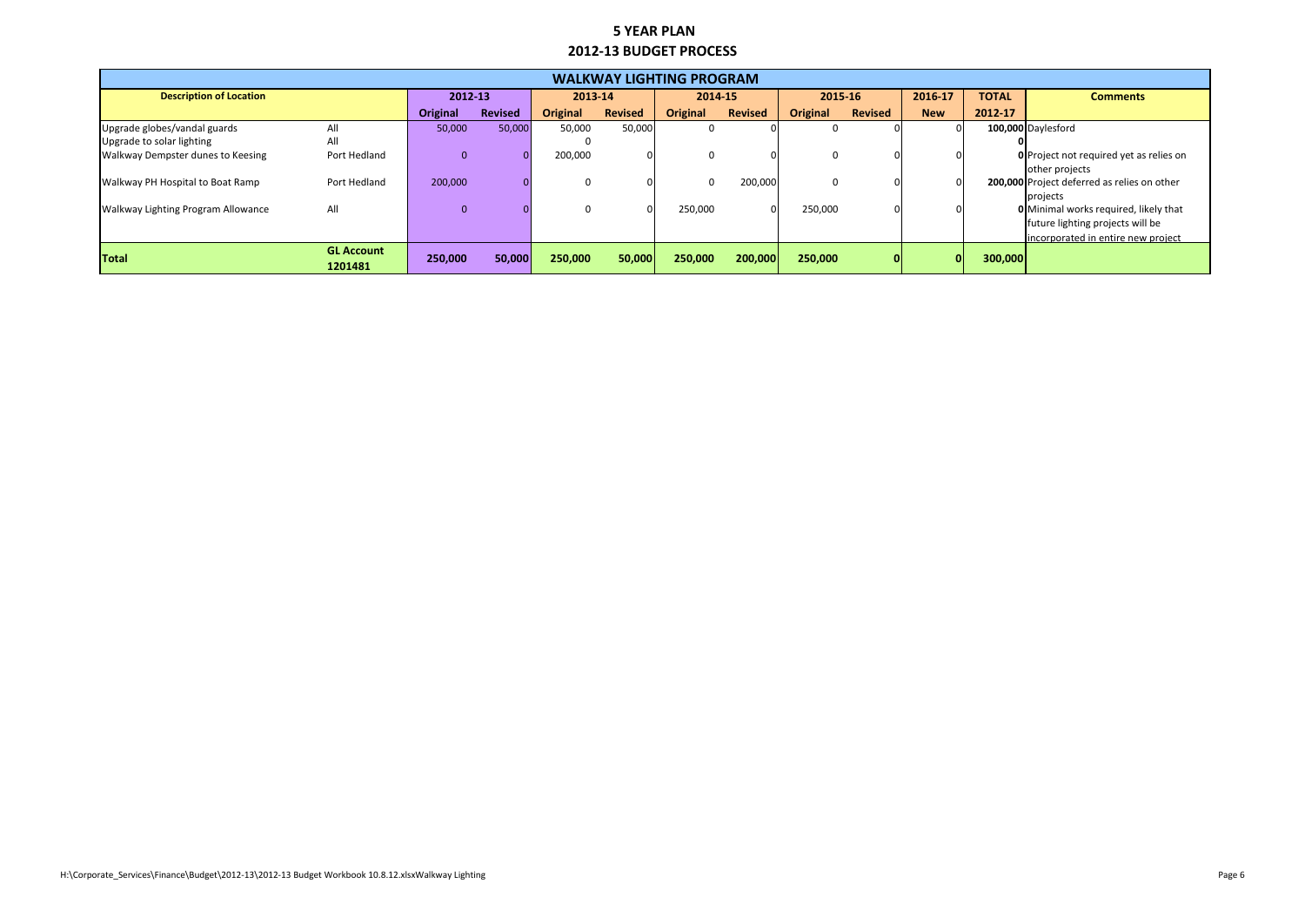|                                           |                              |                 |                |                 |                | <b>WALKWAY LIGHTING PROGRAM</b> |                |          |                |            |              |                                                |
|-------------------------------------------|------------------------------|-----------------|----------------|-----------------|----------------|---------------------------------|----------------|----------|----------------|------------|--------------|------------------------------------------------|
| <b>Description of Location</b>            |                              | 2012-13         |                | 2013-14         |                | 2014-15                         |                | 2015-16  |                | 2016-17    | <b>TOTAL</b> | <b>Comments</b>                                |
|                                           |                              | <b>Original</b> | <b>Revised</b> | <b>Original</b> | <b>Revised</b> | <b>Original</b>                 | <b>Revised</b> | Original | <b>Revised</b> | <b>New</b> | 2012-17      |                                                |
| Upgrade globes/vandal guards              | All                          | 50,000          | 50,000         | 50,000          | 50,000         | O                               |                |          |                |            |              | 100,000 Daylesford                             |
| Upgrade to solar lighting                 | All                          |                 |                |                 |                |                                 |                |          |                |            |              |                                                |
| Walkway Dempster dunes to Keesing         | Port Hedland                 | $\overline{0}$  |                | 200,000         |                |                                 |                |          |                |            |              | <b>O</b> Project not required yet as relies on |
|                                           |                              |                 |                |                 |                |                                 |                |          |                |            |              | other projects                                 |
| Walkway PH Hospital to Boat Ramp          | Port Hedland                 | 200,000         |                |                 |                |                                 | 200,000        | 0        |                |            |              | 200,000 Project deferred as relies on other    |
|                                           |                              |                 |                |                 |                |                                 |                |          |                |            |              | projects                                       |
| <b>Walkway Lighting Program Allowance</b> | All                          | $\overline{0}$  |                |                 | U              | 250,000                         |                | 250,000  |                |            |              | <b>O</b> Minimal works required, likely that   |
|                                           |                              |                 |                |                 |                |                                 |                |          |                |            |              | future lighting projects will be               |
|                                           |                              |                 |                |                 |                |                                 |                |          |                |            |              | lincorporated in entire new project            |
| <b>Total</b>                              | <b>GL Account</b><br>1201481 | 250,000         | 50,000         | 250,000         | 50,000         | 250,000                         | 200,000        | 250,000  | 01             |            | 300,000      |                                                |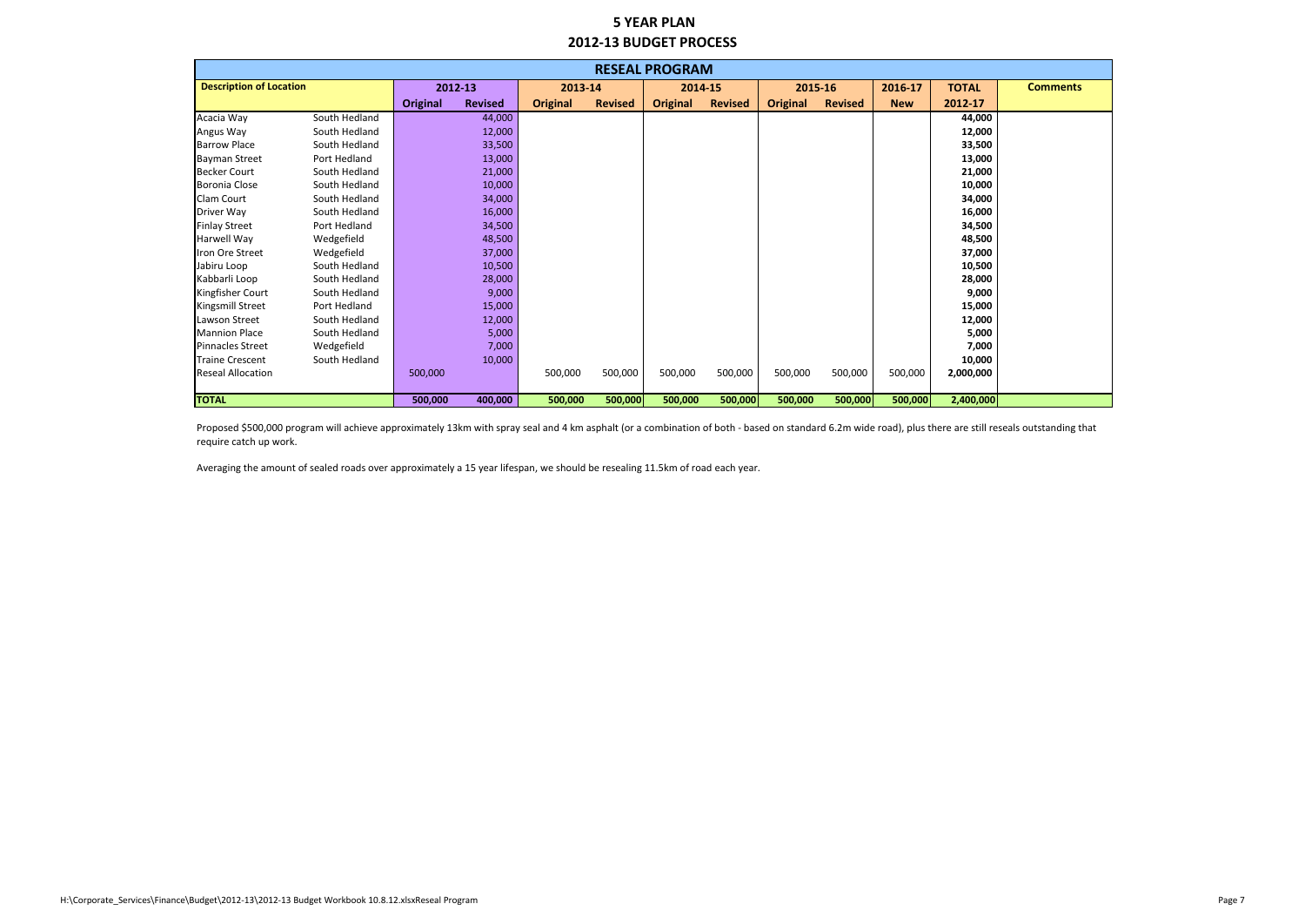|                                |               |                 |                |                 |                | <b>RESEAL PROGRAM</b> |                |                 |                |            |              |                 |
|--------------------------------|---------------|-----------------|----------------|-----------------|----------------|-----------------------|----------------|-----------------|----------------|------------|--------------|-----------------|
| <b>Description of Location</b> |               | 2012-13         |                | 2013-14         |                | 2014-15               |                | 2015-16         |                | 2016-17    | <b>TOTAL</b> | <b>Comments</b> |
|                                |               | <b>Original</b> | <b>Revised</b> | <b>Original</b> | <b>Revised</b> | <b>Original</b>       | <b>Revised</b> | <b>Original</b> | <b>Revised</b> | <b>New</b> | 2012-17      |                 |
| Acacia Way                     | South Hedland |                 | 44,000         |                 |                |                       |                |                 |                |            | 44,000       |                 |
| Angus Way                      | South Hedland |                 | 12,000         |                 |                |                       |                |                 |                |            | 12,000       |                 |
| <b>Barrow Place</b>            | South Hedland |                 | 33,500         |                 |                |                       |                |                 |                |            | 33,500       |                 |
| <b>Bayman Street</b>           | Port Hedland  |                 | 13,000         |                 |                |                       |                |                 |                |            | 13,000       |                 |
| <b>Becker Court</b>            | South Hedland |                 | 21,000         |                 |                |                       |                |                 |                |            | 21,000       |                 |
| Boronia Close                  | South Hedland |                 | 10,000         |                 |                |                       |                |                 |                |            | 10,000       |                 |
| <b>Clam Court</b>              | South Hedland |                 | 34,000         |                 |                |                       |                |                 |                |            | 34,000       |                 |
| Driver Way                     | South Hedland |                 | 16,000         |                 |                |                       |                |                 |                |            | 16,000       |                 |
| <b>Finlay Street</b>           | Port Hedland  |                 | 34,500         |                 |                |                       |                |                 |                |            | 34,500       |                 |
| Harwell Way                    | Wedgefield    |                 | 48,500         |                 |                |                       |                |                 |                |            | 48,500       |                 |
| Iron Ore Street                | Wedgefield    |                 | 37,000         |                 |                |                       |                |                 |                |            | 37,000       |                 |
| Jabiru Loop                    | South Hedland |                 | 10,500         |                 |                |                       |                |                 |                |            | 10,500       |                 |
| Kabbarli Loop                  | South Hedland |                 | 28,000         |                 |                |                       |                |                 |                |            | 28,000       |                 |
| Kingfisher Court               | South Hedland |                 | 9,000          |                 |                |                       |                |                 |                |            | 9,000        |                 |
| Kingsmill Street               | Port Hedland  |                 | 15,000         |                 |                |                       |                |                 |                |            | 15,000       |                 |
| Lawson Street                  | South Hedland |                 | 12,000         |                 |                |                       |                |                 |                |            | 12,000       |                 |
| Mannion Place                  | South Hedland |                 | 5,000          |                 |                |                       |                |                 |                |            | 5,000        |                 |
| <b>Pinnacles Street</b>        | Wedgefield    |                 | 7,000          |                 |                |                       |                |                 |                |            | 7,000        |                 |
| <b>Traine Crescent</b>         | South Hedland |                 | 10,000         |                 |                |                       |                |                 |                |            | 10,000       |                 |
| <b>Reseal Allocation</b>       |               | 500,000         |                | 500,000         | 500,000        | 500,000               | 500,000        | 500,000         | 500,000        | 500,000    | 2,000,000    |                 |
|                                |               |                 |                |                 |                |                       |                |                 |                |            |              |                 |
| <b>TOTAL</b>                   |               | 500,000         | 400,000        | 500,000         | 500,000        | 500,000               | 500,000        | 500,000         | 500,000        | 500,000    | 2,400,000    |                 |

Averaging the amount of sealed roads over approximately a 15 year lifespan, we should be resealing 11.5km of road each year.

Proposed \$500,000 program will achieve approximately 13km with spray seal and 4 km asphalt (or a combination of both - based on standard 6.2m wide road), plus there are still reseals outstanding that require catch up work.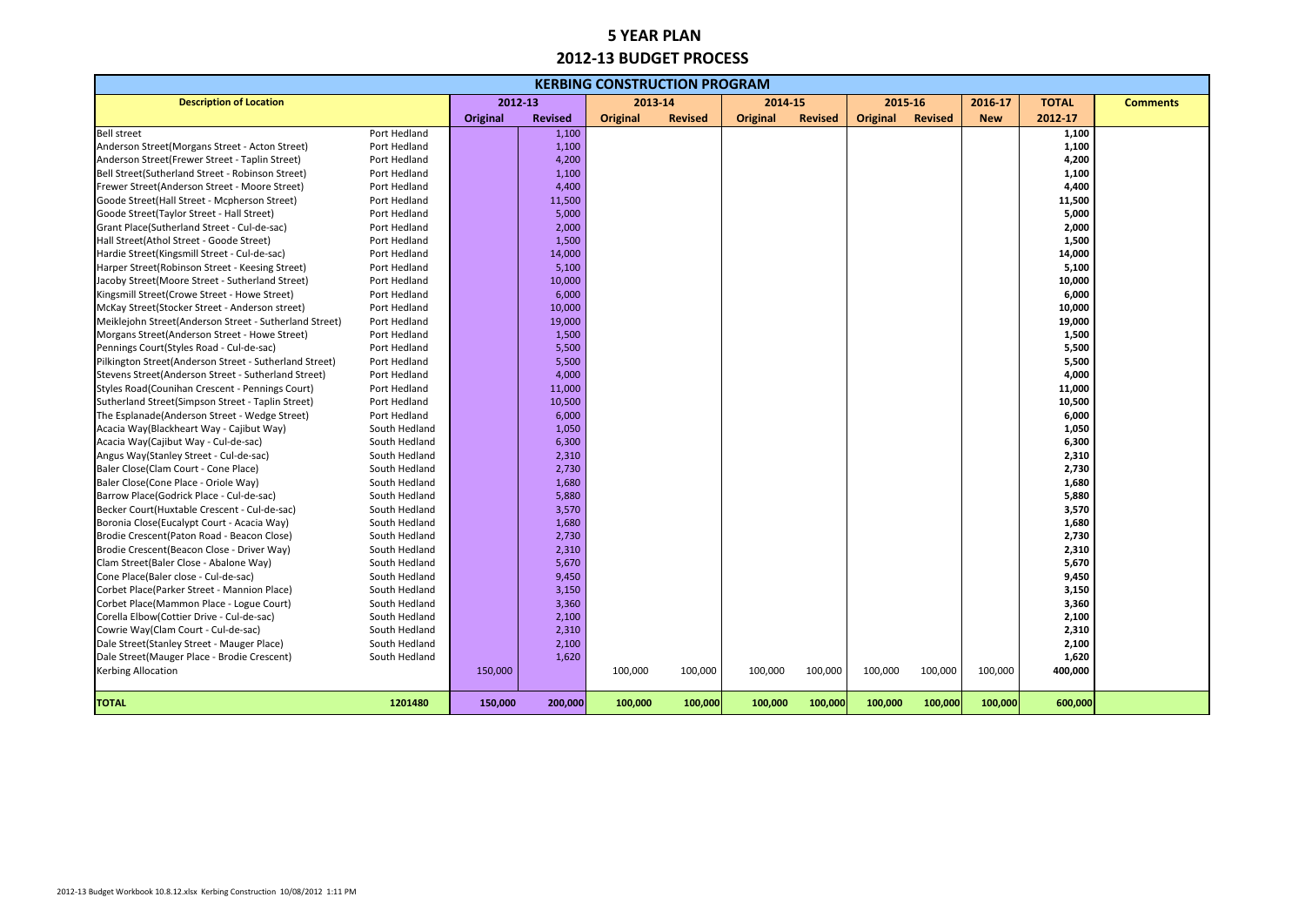|                                                        |               |                 |                | <b>KERBING CONSTRUCTION PROGRAM</b> |                |                 |                |          |                |            |              |                 |
|--------------------------------------------------------|---------------|-----------------|----------------|-------------------------------------|----------------|-----------------|----------------|----------|----------------|------------|--------------|-----------------|
| <b>Description of Location</b>                         |               |                 | 2012-13        | 2013-14                             |                | 2014-15         |                | 2015-16  |                | 2016-17    | <b>TOTAL</b> | <b>Comments</b> |
|                                                        |               | <b>Original</b> | <b>Revised</b> | <b>Original</b>                     | <b>Revised</b> | <b>Original</b> | <b>Revised</b> | Original | <b>Revised</b> | <b>New</b> | 2012-17      |                 |
| <b>Bell street</b>                                     | Port Hedland  |                 | 1,100          |                                     |                |                 |                |          |                |            | 1,100        |                 |
| Anderson Street (Morgans Street - Acton Street)        | Port Hedland  |                 | 1,100          |                                     |                |                 |                |          |                |            | 1,100        |                 |
| Anderson Street(Frewer Street - Taplin Street)         | Port Hedland  |                 | 4,200          |                                     |                |                 |                |          |                |            | 4,200        |                 |
| Bell Street(Sutherland Street - Robinson Street)       | Port Hedland  |                 | 1,100          |                                     |                |                 |                |          |                |            | 1,100        |                 |
| Frewer Street(Anderson Street - Moore Street)          | Port Hedland  |                 | 4,400          |                                     |                |                 |                |          |                |            | 4,400        |                 |
| Goode Street(Hall Street - Mcpherson Street)           | Port Hedland  |                 | 11,500         |                                     |                |                 |                |          |                |            | 11,500       |                 |
| Goode Street(Taylor Street - Hall Street)              | Port Hedland  |                 | 5,000          |                                     |                |                 |                |          |                |            | 5,000        |                 |
| Grant Place(Sutherland Street - Cul-de-sac)            | Port Hedland  |                 | 2,000          |                                     |                |                 |                |          |                |            | 2,000        |                 |
| Hall Street(Athol Street - Goode Street)               | Port Hedland  |                 | 1,500          |                                     |                |                 |                |          |                |            | 1,500        |                 |
| Hardie Street(Kingsmill Street - Cul-de-sac)           | Port Hedland  |                 | 14,000         |                                     |                |                 |                |          |                |            | 14,000       |                 |
| Harper Street(Robinson Street - Keesing Street)        | Port Hedland  |                 | 5,100          |                                     |                |                 |                |          |                |            | 5,100        |                 |
| Jacoby Street(Moore Street - Sutherland Street)        | Port Hedland  |                 | 10,000         |                                     |                |                 |                |          |                |            | 10,000       |                 |
| Kingsmill Street(Crowe Street - Howe Street)           | Port Hedland  |                 | 6,000          |                                     |                |                 |                |          |                |            | 6,000        |                 |
| McKay Street(Stocker Street - Anderson street)         | Port Hedland  |                 | 10,000         |                                     |                |                 |                |          |                |            | 10,000       |                 |
| Meiklejohn Street(Anderson Street - Sutherland Street) | Port Hedland  |                 | 19,000         |                                     |                |                 |                |          |                |            | 19,000       |                 |
| Morgans Street(Anderson Street - Howe Street)          | Port Hedland  |                 | 1,500          |                                     |                |                 |                |          |                |            | 1,500        |                 |
| Pennings Court(Styles Road - Cul-de-sac)               | Port Hedland  |                 | 5,500          |                                     |                |                 |                |          |                |            | 5,500        |                 |
| Pilkington Street(Anderson Street - Sutherland Street) | Port Hedland  |                 | 5,500          |                                     |                |                 |                |          |                |            | 5,500        |                 |
| Stevens Street(Anderson Street - Sutherland Street)    | Port Hedland  |                 | 4,000          |                                     |                |                 |                |          |                |            | 4,000        |                 |
| Styles Road (Counihan Crescent - Pennings Court)       | Port Hedland  |                 | 11,000         |                                     |                |                 |                |          |                |            | 11,000       |                 |
| Sutherland Street(Simpson Street - Taplin Street)      | Port Hedland  |                 | 10,500         |                                     |                |                 |                |          |                |            | 10,500       |                 |
| The Esplanade(Anderson Street - Wedge Street)          | Port Hedland  |                 | 6,000          |                                     |                |                 |                |          |                |            | 6,000        |                 |
| Acacia Way(Blackheart Way - Cajibut Way)               | South Hedland |                 | 1,050          |                                     |                |                 |                |          |                |            | 1,050        |                 |
| Acacia Way(Cajibut Way - Cul-de-sac)                   | South Hedland |                 | 6,300          |                                     |                |                 |                |          |                |            | 6,300        |                 |
| Angus Way(Stanley Street - Cul-de-sac)                 | South Hedland |                 | 2,310          |                                     |                |                 |                |          |                |            | 2,310        |                 |
| Baler Close(Clam Court - Cone Place)                   | South Hedland |                 | 2,730          |                                     |                |                 |                |          |                |            | 2,730        |                 |
| Baler Close(Cone Place - Oriole Way)                   | South Hedland |                 | 1,680          |                                     |                |                 |                |          |                |            | 1,680        |                 |
| Barrow Place(Godrick Place - Cul-de-sac)               | South Hedland |                 | 5,880          |                                     |                |                 |                |          |                |            | 5,880        |                 |
| Becker Court(Huxtable Crescent - Cul-de-sac)           | South Hedland |                 | 3,570          |                                     |                |                 |                |          |                |            | 3,570        |                 |
| Boronia Close (Eucalypt Court - Acacia Way)            | South Hedland |                 | 1,680          |                                     |                |                 |                |          |                |            | 1,680        |                 |
| Brodie Crescent (Paton Road - Beacon Close)            | South Hedland |                 | 2,730          |                                     |                |                 |                |          |                |            | 2,730        |                 |
| Brodie Crescent (Beacon Close - Driver Way)            | South Hedland |                 | 2,310          |                                     |                |                 |                |          |                |            | 2,310        |                 |
| Clam Street(Baler Close - Abalone Way)                 | South Hedland |                 | 5,670          |                                     |                |                 |                |          |                |            | 5,670        |                 |
| Cone Place(Baler close - Cul-de-sac)                   | South Hedland |                 | 9,450          |                                     |                |                 |                |          |                |            | 9,450        |                 |
| Corbet Place(Parker Street - Mannion Place)            | South Hedland |                 | 3,150          |                                     |                |                 |                |          |                |            | 3,150        |                 |
| Corbet Place(Mammon Place - Logue Court)               | South Hedland |                 | 3,360          |                                     |                |                 |                |          |                |            | 3,360        |                 |
| Corella Elbow(Cottier Drive - Cul-de-sac)              | South Hedland |                 | 2,100          |                                     |                |                 |                |          |                |            | 2,100        |                 |
| Cowrie Way(Clam Court - Cul-de-sac)                    | South Hedland |                 | 2,310          |                                     |                |                 |                |          |                |            | 2,310        |                 |
| Dale Street(Stanley Street - Mauger Place)             | South Hedland |                 | 2,100          |                                     |                |                 |                |          |                |            | 2,100        |                 |
| Dale Street(Mauger Place - Brodie Crescent)            | South Hedland |                 | 1,620          |                                     |                |                 |                |          |                |            | 1,620        |                 |
| <b>Kerbing Allocation</b>                              |               | 150,000         |                | 100,000                             | 100,000        | 100,000         | 100,000        | 100,000  | 100,000        | 100,000    | 400,000      |                 |
|                                                        |               |                 |                |                                     |                |                 |                |          |                |            |              |                 |
| <b>TOTAL</b>                                           | 1201480       | 150,000         | 200,000        | 100,000                             | 100,000        | 100,000         | 100,000        | 100,000  | 100,000        | 100,000    | 600,000      |                 |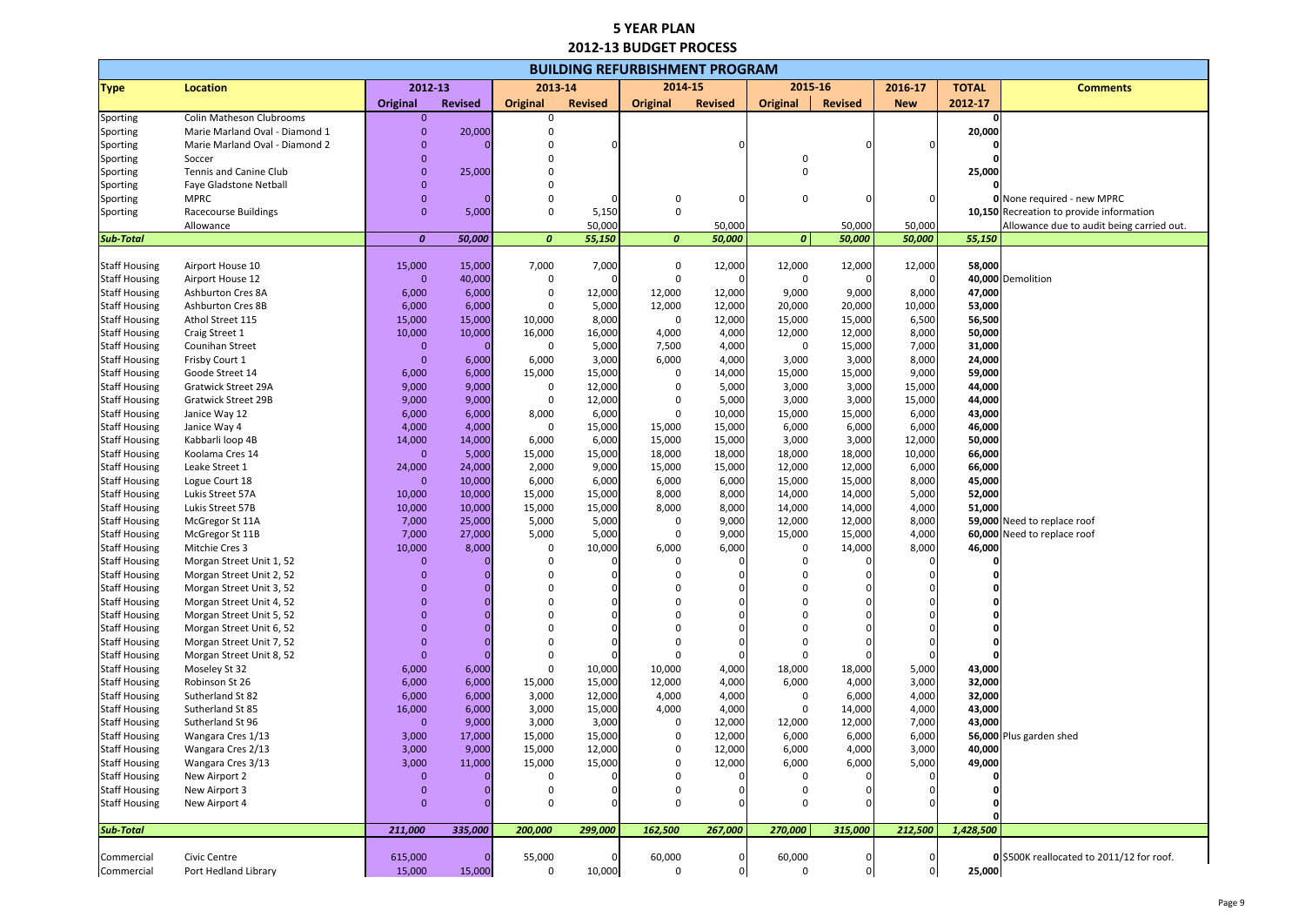| <b>BUILDING REFURBISHMENT PROGRAM</b><br>2014-15<br>2015-16<br>2012-13<br>2013-14 |                                                      |                      |                |                  |                  |                  |                  |                 |                  |                  |                  |                                           |
|-----------------------------------------------------------------------------------|------------------------------------------------------|----------------------|----------------|------------------|------------------|------------------|------------------|-----------------|------------------|------------------|------------------|-------------------------------------------|
| <b>Type</b>                                                                       | <b>Location</b>                                      |                      |                |                  |                  |                  |                  |                 |                  | 2016-17          | <b>TOTAL</b>     | <b>Comments</b>                           |
|                                                                                   |                                                      | <b>Original</b>      | <b>Revised</b> | <b>Original</b>  | <b>Revised</b>   | <b>Original</b>  | <b>Revised</b>   | <b>Original</b> | <b>Revised</b>   | <b>New</b>       | 2012-17          |                                           |
| Sporting                                                                          | Colin Matheson Clubrooms                             | $\mathbf{0}$         |                | $\mathbf{0}$     |                  |                  |                  |                 |                  |                  |                  |                                           |
| Sporting                                                                          | Marie Marland Oval - Diamond 1                       | $\mathbf{0}$         | 20,000         | $\Omega$         |                  |                  |                  |                 |                  |                  | 20,000           |                                           |
| Sporting                                                                          | Marie Marland Oval - Diamond 2                       | $\mathbf 0$          |                |                  |                  |                  |                  |                 |                  |                  |                  |                                           |
| Sporting                                                                          | Soccer                                               |                      |                |                  |                  |                  |                  | 0               |                  |                  |                  |                                           |
| Sporting                                                                          | Tennis and Canine Club                               | $\mathbf 0$          | 25,000         |                  |                  |                  |                  | $\mathbf 0$     |                  |                  | 25,000           |                                           |
| Sporting                                                                          | Faye Gladstone Netball                               | $\mathbf 0$          |                |                  |                  |                  |                  |                 |                  |                  |                  |                                           |
| Sporting                                                                          | <b>MPRC</b>                                          | $\mathbf 0$          |                | $\Omega$         |                  | 0                |                  | 0               |                  |                  |                  | <b>0</b> None required - new MPRC         |
| Sporting                                                                          | <b>Racecourse Buildings</b>                          | $\mathbf{0}$         | 5,000          | $\Omega$         | 5,150            | 0                |                  |                 |                  |                  |                  | 10,150 Recreation to provide information  |
| <b>Sub-Total</b>                                                                  | Allowance                                            | $\boldsymbol{0}$     | 50,000         | $\boldsymbol{o}$ | 50,000<br>55,150 | $\boldsymbol{0}$ | 50,000<br>50,000 | 0               | 50,000<br>50,000 | 50,000<br>50,000 | 55,150           | Allowance due to audit being carried out. |
|                                                                                   |                                                      |                      |                |                  |                  |                  |                  |                 |                  |                  |                  |                                           |
| <b>Staff Housing</b>                                                              | Airport House 10                                     | 15,000               | 15,000         | 7,000            | 7,000            | 0                | 12,000           | 12,000          | 12,000           | 12,000           | 58,000           |                                           |
| <b>Staff Housing</b>                                                              | Airport House 12                                     | $\Omega$             | 40,000         | 0                |                  | $\Omega$         |                  | 0               |                  |                  |                  | 40,000 Demolition                         |
| <b>Staff Housing</b>                                                              | Ashburton Cres 8A                                    | 6,000                | 6,000          | $\mathbf 0$      | 12,000           | 12,000           | 12,000           | 9,000           | 9,000            | 8,000            | 47,000           |                                           |
| <b>Staff Housing</b>                                                              | Ashburton Cres 8B                                    | 6,000                | 6,000          | $\mathbf 0$      | 5,000            | 12,000           | 12,000           | 20,000          | 20,000           | 10,000           | 53,000           |                                           |
| <b>Staff Housing</b>                                                              | Athol Street 115                                     | 15,000               | 15,000         | 10,000           | 8,000            | $\mathbf 0$      | 12,000           | 15,000          | 15,000           | 6,500            | 56,500           |                                           |
| <b>Staff Housing</b>                                                              | Craig Street 1                                       | 10,000               | 10,000         | 16,000           | 16,000           | 4,000            | 4,000            | 12,000          | 12,000           | 8,000            | 50,000           |                                           |
| <b>Staff Housing</b>                                                              | <b>Counihan Street</b>                               | 0                    |                | 0                | 5,000            | 7,500            | 4,000            | 0               | 15,000           | 7,000            | 31,000           |                                           |
| <b>Staff Housing</b>                                                              | Frisby Court 1                                       | $\mathbf 0$          | 6,000          | 6,000            | 3,000            | 6,000            | 4,000            | 3,000           | 3,000            | 8,000            | 24,000           |                                           |
| <b>Staff Housing</b>                                                              | Goode Street 14                                      | 6,000                | 6,000          | 15,000           | 15,000           | 0                | 14,000           | 15,000          | 15,000           | 9,000            | 59,000           |                                           |
| <b>Staff Housing</b>                                                              | <b>Gratwick Street 29A</b>                           | 9,000                | 9,000          | 0                | 12,000           | 0                | 5,000            | 3,000           | 3,000            | 15,000           | 44,000           |                                           |
| <b>Staff Housing</b><br><b>Staff Housing</b>                                      | <b>Gratwick Street 29B</b>                           | 9,000<br>6,000       | 9,000          | 0                | 12,000<br>6,000  | 0<br>0           | 5,000<br>10,000  | 3,000<br>15,000 | 3,000            | 15,000           | 44,000<br>43,000 |                                           |
| <b>Staff Housing</b>                                                              | Janice Way 12<br>Janice Way 4                        | 4,000                | 6,000<br>4,000 | 8,000<br>0       | 15,000           | 15,000           | 15,000           | 6,000           | 15,000<br>6,000  | 6,000<br>6,000   | 46,000           |                                           |
| <b>Staff Housing</b>                                                              | Kabbarli loop 4B                                     | 14,000               | 14,000         | 6,000            | 6,000            | 15,000           | 15,000           | 3,000           | 3,000            | 12,000           | 50,000           |                                           |
| <b>Staff Housing</b>                                                              | Koolama Cres 14                                      | $\overline{0}$       | 5,000          | 15,000           | 15,000           | 18,000           | 18,000           | 18,000          | 18,000           | 10,000           | 66,000           |                                           |
| <b>Staff Housing</b>                                                              | Leake Street 1                                       | 24,000               | 24,000         | 2,000            | 9,000            | 15,000           | 15,000           | 12,000          | 12,000           | 6,000            | 66,000           |                                           |
| <b>Staff Housing</b>                                                              | Logue Court 18                                       | $\overline{0}$       | 10,000         | 6,000            | 6,000            | 6,000            | 6,000            | 15,000          | 15,000           | 8,000            | 45,000           |                                           |
| <b>Staff Housing</b>                                                              | Lukis Street 57A                                     | 10,000               | 10,000         | 15,000           | 15,000           | 8,000            | 8,000            | 14,000          | 14,000           | 5,000            | 52,000           |                                           |
| <b>Staff Housing</b>                                                              | Lukis Street 57B                                     | 10,000               | 10,000         | 15,000           | 15,000           | 8,000            | 8,000            | 14,000          | 14,000           | 4,000            | 51,000           |                                           |
| <b>Staff Housing</b>                                                              | McGregor St 11A                                      | 7,000                | 25,000         | 5,000            | 5,000            | 0                | 9,000            | 12,000          | 12,000           | 8,000            |                  | 59,000 Need to replace roof               |
| <b>Staff Housing</b>                                                              | McGregor St 11B                                      | 7,000                | 27,000         | 5,000            | 5,000            | 0                | 9,000            | 15,000          | 15,000           | 4,000            |                  | 60,000 Need to replace roof               |
| <b>Staff Housing</b>                                                              | Mitchie Cres 3                                       | 10,000               | 8,000          | $\Omega$         | 10,000           | 6,000            | 6,000            | 0               | 14,000           | 8,000            | 46,000           |                                           |
| <b>Staff Housing</b>                                                              | Morgan Street Unit 1, 52                             | $\mathbf 0$          |                | $\Omega$         | 0                |                  |                  | 0               |                  |                  |                  |                                           |
| <b>Staff Housing</b>                                                              | Morgan Street Unit 2, 52                             | $\Omega$             |                | O                |                  |                  | $\Omega$         | $\Omega$        |                  |                  |                  |                                           |
| <b>Staff Housing</b>                                                              | Morgan Street Unit 3, 52                             | $\Omega$             |                |                  |                  |                  |                  | $\Omega$        |                  |                  |                  |                                           |
| <b>Staff Housing</b>                                                              | Morgan Street Unit 4, 52                             | $\Omega$             |                |                  |                  |                  |                  | $\Omega$        |                  |                  |                  |                                           |
| <b>Staff Housing</b>                                                              | Morgan Street Unit 5, 52                             | $\Omega$             |                |                  |                  |                  |                  | $\Omega$        |                  |                  |                  |                                           |
| <b>Staff Housing</b>                                                              | Morgan Street Unit 6, 52                             | $\Omega$             |                |                  |                  |                  |                  | $\Omega$        |                  |                  |                  |                                           |
| <b>Staff Housing</b><br><b>Staff Housing</b>                                      | Morgan Street Unit 7, 52<br>Morgan Street Unit 8, 52 | $\Omega$<br>$\Omega$ |                | $\Omega$         |                  |                  |                  | $\Omega$        |                  |                  |                  |                                           |
| <b>Staff Housing</b>                                                              | Moseley St 32                                        | 6,000                |                | $\mathbf 0$      |                  | 10,000           | 4,000            | 18,000          | 18,000           | 5,000            | 43,000           |                                           |
| <b>Staff Housing</b>                                                              | Robinson St 26                                       | 6,000                | 6,000<br>6,000 | 15,000           | 10,000<br>15,000 | 12,000           | 4,000            | 6,000           | 4,000            | 3,000            | 32,000           |                                           |
| <b>Staff Housing</b>                                                              | Sutherland St 82                                     | 6,000                | 6,000          | 3,000            | 12,000           | 4,000            | 4,000            | 0               | 6,000            | 4,000            | 32,000           |                                           |
| <b>Staff Housing</b>                                                              | Sutherland St 85                                     | 16,000               | 6,000          | 3,000            | 15,000           | 4,000            | 4,000            | 0               | 14,000           | 4,000            | 43,000           |                                           |
| <b>Staff Housing</b>                                                              | Sutherland St 96                                     | $\Omega$             | 9,000          | 3,000            | 3,000            | 0                | 12,000           | 12,000          | 12,000           | 7,000            | 43,000           |                                           |
| <b>Staff Housing</b>                                                              | Wangara Cres 1/13                                    | 3,000                | 17,000         | 15,000           | 15,000           | 0                | 12,000           | 6,000           | 6,000            | 6,000            |                  | 56,000 Plus garden shed                   |
| <b>Staff Housing</b>                                                              | Wangara Cres 2/13                                    | 3,000                | 9,000          | 15,000           | 12,000           | 0                | 12,000           | 6,000           | 4,000            | 3,000            | 40,000           |                                           |
| <b>Staff Housing</b>                                                              | Wangara Cres 3/13                                    | 3,000                | 11,000         | 15,000           | 15,000           | $\Omega$         | 12,000           | 6,000           | 6,000            | 5,000            | 49,000           |                                           |
| <b>Staff Housing</b>                                                              | New Airport 2                                        |                      |                |                  |                  | $\Omega$         |                  |                 |                  |                  |                  |                                           |
| <b>Staff Housing</b>                                                              | New Airport 3                                        | $\mathbf 0$          |                |                  |                  | $\mathbf{0}$     |                  |                 |                  |                  |                  |                                           |
| <b>Staff Housing</b>                                                              | New Airport 4                                        | $\mathbf{0}$         |                | $\Omega$         |                  | $\Omega$         |                  | $\mathbf 0$     |                  |                  |                  |                                           |
| <b>Sub-Total</b>                                                                  |                                                      | 211,000              | 335,000        | 200,000          | 299,000          | 162,500          | 267,000          | 270,000         | 315,000          | 212,500          | 1,428,500        |                                           |
| Commercial                                                                        | Civic Centre                                         | 615,000              |                | 55,000           | 0                | 60,000           | 0                | 60,000          |                  |                  |                  | 0 \$500K reallocated to 2011/12 for roof. |
| Commercial                                                                        | Port Hedland Library                                 | 15,000               | 15,000         | 0                | 10,000           | 0                | 0                | $\mathbf 0$     |                  | 0                | 25,000           |                                           |

|                   | <b>Comments</b>                                                                |
|-------------------|--------------------------------------------------------------------------------|
| 7<br>0            |                                                                                |
| 00                |                                                                                |
| $\bf{0}$          |                                                                                |
| $\mathbf 0$<br>00 |                                                                                |
| 0                 |                                                                                |
|                   | <b>0</b> None required - new MPRC                                              |
| <b>150</b>        | Recreation to provide information<br>Allowance due to audit being carried out. |
| 50                |                                                                                |
|                   |                                                                                |
| )00               | 00 Demolition                                                                  |
| )00               |                                                                                |
| )00               |                                                                                |
| 500<br>)00        |                                                                                |
| )00               |                                                                                |
| )00               |                                                                                |
| )00<br>00         |                                                                                |
| 00                |                                                                                |
| 00                |                                                                                |
| )00<br>)00        |                                                                                |
| )00               |                                                                                |
| )00               |                                                                                |
| )00               |                                                                                |
| )00<br>)00        |                                                                                |
|                   | 00 Need to replace roof                                                        |
|                   | 00 Need to replace roof                                                        |
| 00<br>0           |                                                                                |
| 0                 |                                                                                |
| 0                 |                                                                                |
| 0<br>0            |                                                                                |
| 0                 |                                                                                |
| 0                 |                                                                                |
| 0                 |                                                                                |
| )00<br>)00        |                                                                                |
| )00               |                                                                                |
| )00               |                                                                                |
| )00               | 00 Plus garden shed                                                            |
| )00               |                                                                                |
| 00                |                                                                                |
| 0<br>0            |                                                                                |
| 0                 |                                                                                |
| 0                 |                                                                                |
| 00                |                                                                                |
|                   |                                                                                |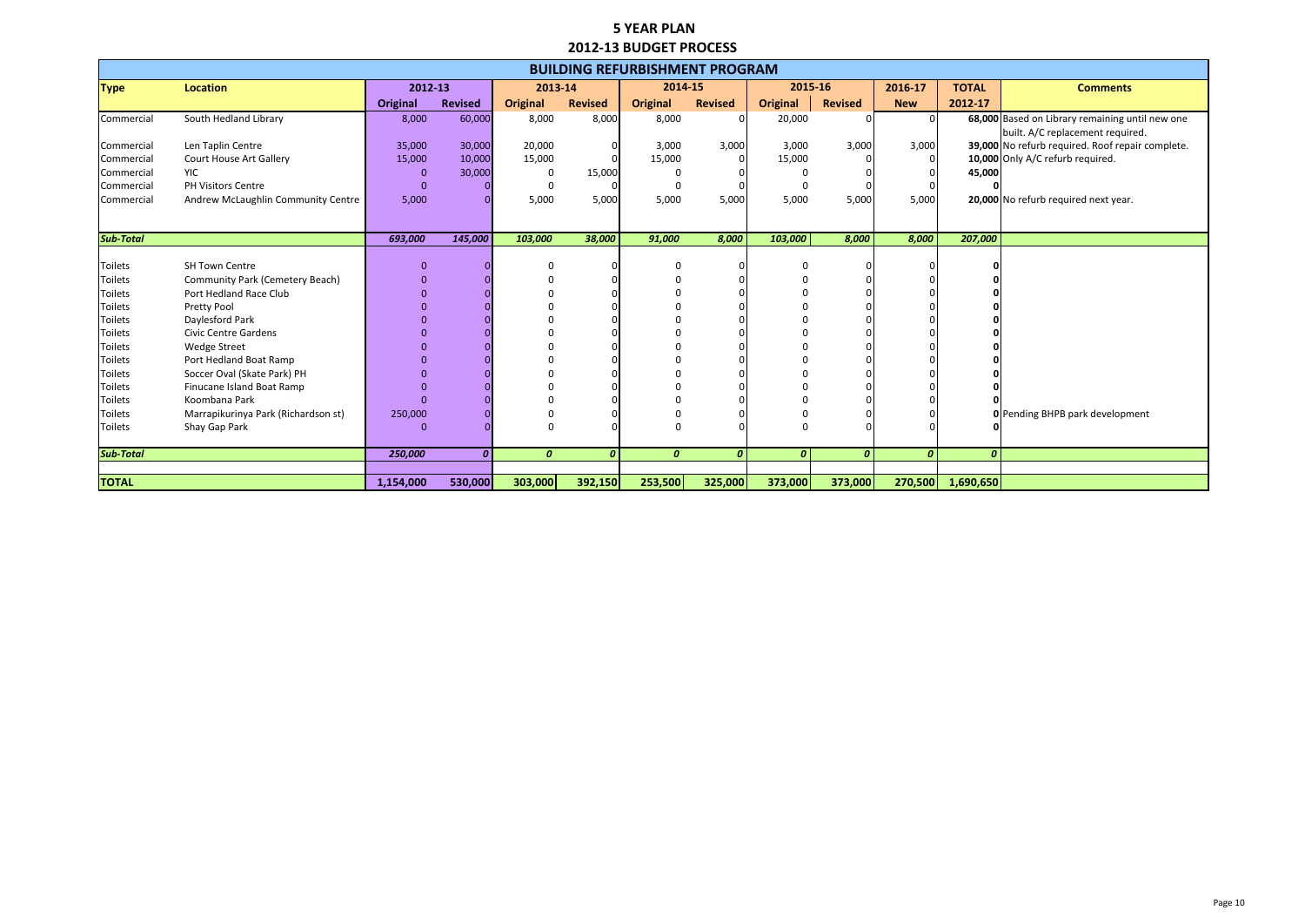|             | <b>Comments</b>                               |
|-------------|-----------------------------------------------|
| 7           |                                               |
|             | 000 Based on Library remaining until new one  |
|             | built. A/C replacement required.              |
|             | 000 No refurb required. Roof repair complete. |
|             | 000 Only A/C refurb required.                 |
| )00         |                                               |
| 0           |                                               |
|             | 00 No refurb required next year.              |
|             |                                               |
| 00          |                                               |
|             |                                               |
| 0           |                                               |
| 0           |                                               |
| 0           |                                               |
| 0           |                                               |
| 0           |                                               |
| 0           |                                               |
| 0           |                                               |
| 0           |                                               |
| 0           |                                               |
| 0           |                                               |
| $\mathbf 0$ |                                               |
| 0           | Pending BHPB park development                 |
| $\mathbf 0$ |                                               |
| 0           |                                               |
|             |                                               |
| 50          |                                               |

|                  |                                     |                 |                  |                  |                  | <b>BUILDING REFURBISHMENT PROGRAM</b> |                  |                  |                |                  |                  |                                                  |
|------------------|-------------------------------------|-----------------|------------------|------------------|------------------|---------------------------------------|------------------|------------------|----------------|------------------|------------------|--------------------------------------------------|
| <b>Type</b>      | <b>Location</b>                     | 2012-13         |                  | 2013-14          |                  | 2014-15                               |                  | 2015-16          |                | 2016-17          | <b>TOTAL</b>     | <b>Comments</b>                                  |
|                  |                                     | <b>Original</b> | <b>Revised</b>   | <b>Original</b>  | <b>Revised</b>   | <b>Original</b>                       | <b>Revised</b>   | <b>Original</b>  | <b>Revised</b> | <b>New</b>       | 2012-17          |                                                  |
| Commercial       | South Hedland Library               | 8,000           | 60,000           | 8,000            | 8,000            | 8,000                                 |                  | 20,000           |                |                  |                  | 68,000 Based on Library remaining until new one  |
|                  |                                     |                 |                  |                  |                  |                                       |                  |                  |                |                  |                  | built. A/C replacement required.                 |
| Commercial       | Len Taplin Centre                   | 35,000          | 30,000           | 20,000           | 0                | 3,000                                 | 3,000            | 3,000            | 3,000          | 3,000            |                  | 39,000 No refurb required. Roof repair complete. |
| Commercial       | Court House Art Gallery             | 15,000          | 10,000           | 15,000           |                  | 15,000                                |                  | 15,000           |                |                  |                  | 10,000 Only A/C refurb required.                 |
| Commercial       | <b>YIC</b>                          | $\mathbf{0}$    | 30,000           | 0                | 15,000           |                                       |                  |                  |                |                  | 45,000           |                                                  |
| Commercial       | PH Visitors Centre                  | $\Omega$        |                  | $\Omega$         |                  |                                       |                  | 0                |                |                  |                  |                                                  |
| Commercial       | Andrew McLaughlin Community Centre  | 5,000           |                  | 5,000            | 5,000            | 5,000                                 | 5,000            | 5,000            | 5,000          | 5,000            |                  | 20,000 No refurb required next year.             |
|                  |                                     |                 |                  |                  |                  |                                       |                  |                  |                |                  |                  |                                                  |
| <b>Sub-Total</b> |                                     | 693,000         | 145,000          | 103,000          | 38,000           | 91,000                                | 8,000            | 103,000          | 8,000          | 8,000            | 207,000          |                                                  |
|                  |                                     |                 |                  |                  |                  |                                       |                  |                  |                |                  |                  |                                                  |
| Toilets          | <b>SH Town Centre</b>               | $\mathbf{0}$    |                  |                  |                  |                                       |                  | $\Omega$         |                |                  |                  |                                                  |
| <b>Toilets</b>   | Community Park (Cemetery Beach)     | $\Omega$        |                  |                  |                  |                                       |                  |                  |                |                  |                  |                                                  |
| <b>Toilets</b>   | Port Hedland Race Club              |                 |                  |                  |                  |                                       |                  |                  |                |                  |                  |                                                  |
| <b>Toilets</b>   | Pretty Pool                         |                 |                  |                  |                  |                                       |                  |                  |                |                  |                  |                                                  |
| <b>Toilets</b>   | Daylesford Park                     |                 |                  |                  |                  |                                       |                  |                  |                |                  |                  |                                                  |
| <b>Toilets</b>   | <b>Civic Centre Gardens</b>         |                 |                  |                  |                  |                                       |                  |                  |                |                  |                  |                                                  |
| <b>Toilets</b>   | <b>Wedge Street</b>                 |                 |                  |                  |                  |                                       |                  |                  |                |                  |                  |                                                  |
| <b>Toilets</b>   | Port Hedland Boat Ramp              |                 |                  |                  |                  |                                       |                  |                  |                |                  |                  |                                                  |
| <b>Toilets</b>   | Soccer Oval (Skate Park) PH         |                 |                  |                  |                  |                                       |                  |                  |                |                  |                  |                                                  |
| <b>Toilets</b>   | Finucane Island Boat Ramp           |                 |                  |                  |                  |                                       |                  |                  |                |                  |                  |                                                  |
| <b>Toilets</b>   | Koombana Park                       |                 |                  |                  |                  |                                       |                  |                  |                |                  |                  |                                                  |
| <b>Toilets</b>   | Marrapikurinya Park (Richardson st) | 250,000         |                  |                  |                  |                                       |                  |                  |                |                  |                  | <b>O</b> Pending BHPB park development           |
| <b>Toilets</b>   | Shay Gap Park                       | $\Omega$        |                  |                  |                  |                                       |                  | $\Omega$         |                |                  |                  |                                                  |
| <b>Sub-Total</b> |                                     | 250,000         | $\boldsymbol{0}$ | $\boldsymbol{0}$ | $\boldsymbol{0}$ | $\boldsymbol{0}$                      | $\boldsymbol{0}$ | $\boldsymbol{0}$ | 0              | $\boldsymbol{0}$ | $\boldsymbol{o}$ |                                                  |
|                  |                                     |                 |                  |                  |                  |                                       |                  |                  |                |                  |                  |                                                  |
| <b>TOTAL</b>     |                                     | 1,154,000       | 530,000          | 303,000          | 392,150          | 253,500                               | 325,000          | 373,000          | 373,000        | 270,500          | 1,690,650        |                                                  |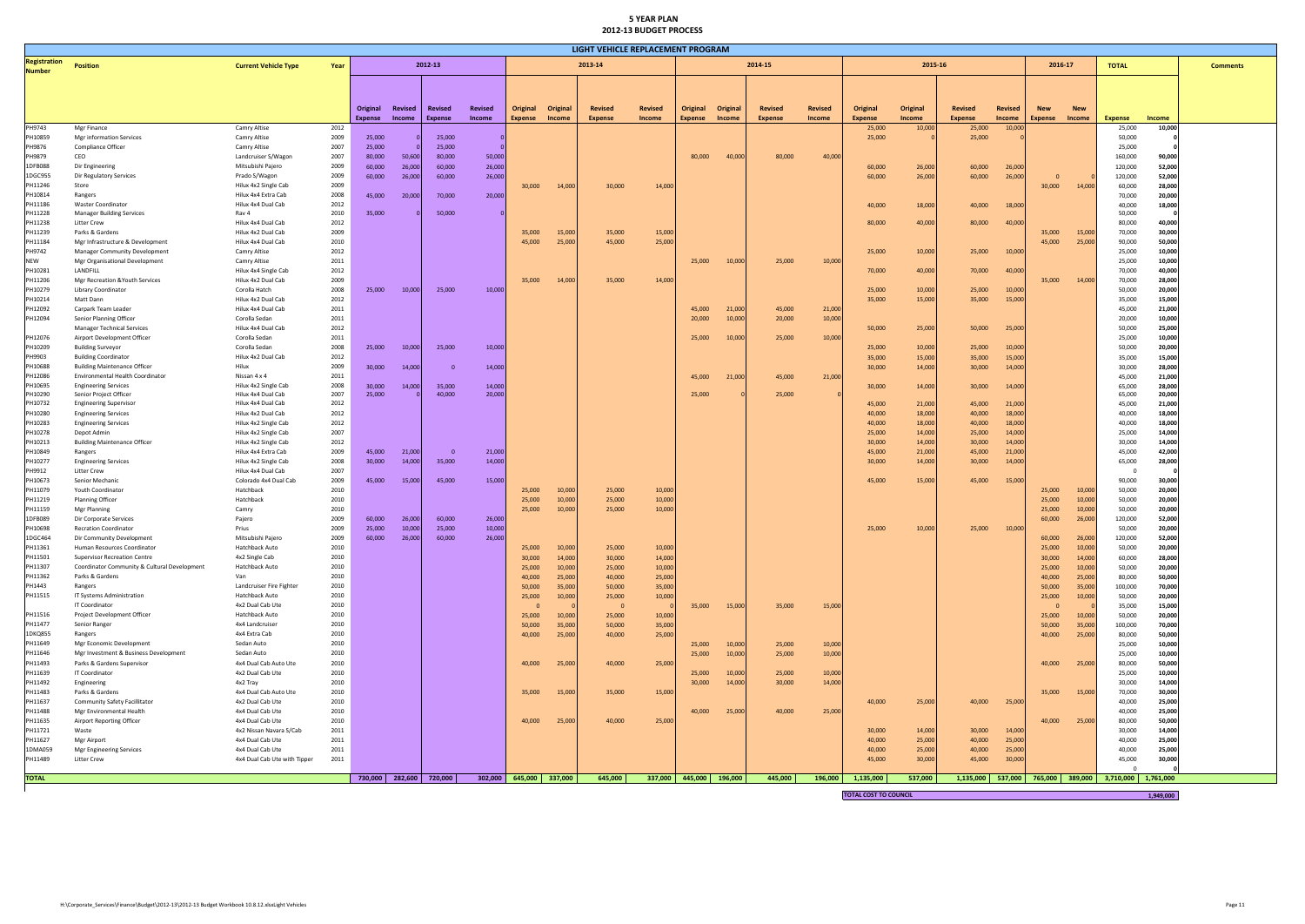| LIGHT VEHICLE REPLACEMENT PROGRAM    |                                                                  |                                              |              |                  |                  |                         |                  |                         |                               |                  |                  |                 |          |                |         |                       |                  |                  |                  |                  |                  |                                                       |                  |  |
|--------------------------------------|------------------------------------------------------------------|----------------------------------------------|--------------|------------------|------------------|-------------------------|------------------|-------------------------|-------------------------------|------------------|------------------|-----------------|----------|----------------|---------|-----------------------|------------------|------------------|------------------|------------------|------------------|-------------------------------------------------------|------------------|--|
| <b>Registration</b><br><b>Number</b> | <b>Position</b>                                                  | <b>Current Vehicle Type</b>                  | Year         |                  |                  | 2012-13                 |                  |                         | 2013-14<br>2014-15<br>2015-16 |                  |                  |                 |          | 2016-17        |         | <b>Comments</b>       |                  |                  |                  |                  |                  |                                                       |                  |  |
|                                      |                                                                  |                                              |              |                  |                  |                         |                  |                         |                               |                  |                  |                 |          |                |         |                       |                  |                  |                  |                  |                  |                                                       |                  |  |
|                                      |                                                                  |                                              |              |                  |                  |                         |                  |                         |                               |                  |                  |                 |          |                |         |                       |                  |                  |                  |                  |                  |                                                       |                  |  |
|                                      |                                                                  |                                              |              | Original         | Revised          | Revised                 | Revised          | Original                | Original                      | <b>Revised</b>   | <b>Revised</b>   | Original        | Original | <b>Revised</b> | Revised | Original              | Original         | <b>Revised</b>   | <b>Revised</b>   | <b>New</b>       | <b>New</b>       |                                                       |                  |  |
|                                      |                                                                  |                                              |              | Expense          | Income           | Expense                 | Income           | Expense                 | Income                        | <b>Expense</b>   | Income           | <b>Expense</b>  | Income   | <b>Expense</b> | Income  | <b>Expense</b>        | Income           | <b>Expense</b>   | <b>Income</b>    | <b>Expense</b>   | Income           | <b>Expense</b>                                        | Income           |  |
| PH9743<br>PH10859                    | Mgr Finance<br>Mgr information Services                          | Camry Altise<br>Camry Altise                 | 2012<br>2009 | 25,000           |                  | 25,000                  |                  |                         |                               |                  |                  |                 |          |                |         | 25,000<br>25,000      | 10,000           | 25,000<br>25,000 | 10,000           |                  |                  | 25,000<br>50,000                                      | 10,000           |  |
| PH9876                               | Compliance Officer                                               | Camry Altise                                 | 2007         | 25,000           |                  | 25,000                  |                  |                         |                               |                  |                  |                 |          |                |         |                       |                  |                  |                  |                  |                  | 25,000                                                |                  |  |
| PH9879                               | CEO                                                              | Landcruiser S/Wagon                          | 2007         | 80,000           | 50,600           | 80,000                  | 50,000           |                         |                               |                  |                  | 80,000          | 40,000   | 80,000         | 40,00   |                       |                  |                  |                  |                  |                  | 160,000                                               | 90,000           |  |
| 1DFB088                              | Dir Engineering                                                  | Mitsubishi Pajero                            | 2009         | 60,000           | 26,000           | 60,000                  | 26,000           |                         |                               |                  |                  |                 |          |                |         | 60,000                | 26,000           | 60,000           | 26,000           |                  |                  | 120,000                                               | 52,000           |  |
| 1DGC955<br>PH11246                   | Dir Regulatory Services<br>Store                                 | Prado S/Wagon<br>Hilux 4x2 Single Cab        | 2009<br>2009 | 60,000           | 26,000           | 60,000                  | 26,000           | 30,000                  | 14,000                        | 30,000           | 14,000           |                 |          |                |         | 60,000                | 26,000           | 60,000           | 26,000           | 30,000           | 14,000           | 120,000<br>60,000                                     | 52,000<br>28,000 |  |
| PH10814                              | Rangers                                                          | Hilux 4x4 Extra Cab                          | 2008         | 45,000           | 20,000           | 70,000                  | 20,000           |                         |                               |                  |                  |                 |          |                |         |                       |                  |                  |                  |                  |                  | 70,000                                                | 20,000           |  |
| PH11186                              | Waster Coordinator                                               | Hilux 4x4 Dual Cab                           | 2012         |                  |                  |                         |                  |                         |                               |                  |                  |                 |          |                |         | 40,000                | 18,000           | 40,000           | 18,000           |                  |                  | 40,000                                                | 18,000           |  |
| PH11228                              | <b>Manager Building Services</b>                                 | Rav 4                                        | 2010         | 35,000           |                  | 50,000                  |                  |                         |                               |                  |                  |                 |          |                |         |                       |                  |                  |                  |                  |                  | 50,000                                                |                  |  |
| PH11238<br>PH11239                   | <b>Litter Crew</b><br>Parks & Gardens                            | Hilux 4x4 Dual Cab<br>Hilux 4x2 Dual Cab     | 2012<br>2009 |                  |                  |                         |                  | 35,000                  | 15,000                        | 35,000           | 15,000           |                 |          |                |         | 80,000                | 40,000           | 80,000           | 40,000           | 35,000           | 15,000           | 80,000<br>70,000                                      | 40,000<br>30,000 |  |
| PH11184                              | Mgr Infrastructure & Development                                 | Hilux 4x4 Dual Cab                           | 2010         |                  |                  |                         |                  | 45,000                  | 25,000                        | 45,000           | 25,000           |                 |          |                |         |                       |                  |                  |                  | 45,000           | 25,000           | 90,000                                                | 50,000           |  |
| PH9742                               | <b>Manager Community Development</b>                             | Camry Altise                                 | 2012         |                  |                  |                         |                  |                         |                               |                  |                  |                 |          |                |         | 25,000                | 10,000           | 25,000           | 10,000           |                  |                  | 25,000                                                | 10,000           |  |
| <b>NEW</b>                           | Mgr Organisational Development                                   | Camry Altise                                 | 2011         |                  |                  |                         |                  |                         |                               |                  |                  | 25,000          | 10,000   | 25,000         | 10,000  |                       |                  |                  |                  |                  |                  | 25,000                                                | 10,000           |  |
| PH10281<br>PH11206                   | LANDFILL<br>Mgr Recreation & Youth Services                      | Hilux 4x4 Single Cab<br>Hilux 4x2 Dual Cab   | 2012<br>2009 |                  |                  |                         |                  |                         | 14,000                        |                  |                  |                 |          |                |         | 70,000                | 40,000           | 70,000           | 40,000           | 35,000           | 14,000           | 70,000                                                | 40,000<br>28,000 |  |
| PH10279                              | Library Coordinator                                              | Corolla Hatch                                | 2008         | 25,000           | 10,000           | 25,000                  | 10,000           | 35,000                  |                               | 35,000           | 14,000           |                 |          |                |         | 25,000                | 10,000           | 25,000           | 10,000           |                  |                  | 70,000<br>50,000                                      | 20,000           |  |
| PH10214                              | Matt Dann                                                        | Hilux 4x2 Dual Cab                           | 2012         |                  |                  |                         |                  |                         |                               |                  |                  |                 |          |                |         | 35,000                | 15,000           | 35,000           | 15,000           |                  |                  | 35,000                                                | 15,000           |  |
| PH12092                              | Carpark Team Leader                                              | Hilux 4x4 Dual Cab                           | 2011         |                  |                  |                         |                  |                         |                               |                  |                  | 45,000          | 21,000   | 45,000         | 21,000  |                       |                  |                  |                  |                  |                  | 45,000                                                | 21,000           |  |
| PH12094                              | Senior Planning Officer                                          | Corolla Sedan<br>Hilux 4x4 Dual Cab          | 2011<br>2012 |                  |                  |                         |                  |                         |                               |                  |                  | 20,000          | 10,000   | 20,000         | 10,000  |                       |                  |                  |                  |                  |                  | 20,000                                                | 10,000           |  |
| PH12076                              | <b>Manager Technical Services</b><br>Airport Development Officer | Corolla Sedan                                | 2011         |                  |                  |                         |                  |                         |                               |                  |                  | 25,000          | 10,000   | 25,000         | 10,000  | 50,000                | 25,000           | 50,000           | 25,000           |                  |                  | 50,000<br>25,000                                      | 25,000<br>10,000 |  |
| PH10209                              | <b>Building Surveyor</b>                                         | Corolla Sedan                                | 2008         | 25,000           | 10,000           | 25,000                  | 10,000           |                         |                               |                  |                  |                 |          |                |         | 25,000                | 10,000           | 25,000           | 10,000           |                  |                  | 50,000                                                | 20,000           |  |
| PH9903                               | <b>Building Coordinator</b>                                      | Hilux 4x2 Dual Cab                           | 2012         |                  |                  |                         |                  |                         |                               |                  |                  |                 |          |                |         | 35,000                | 15,000           | 35,000           | 15,000           |                  |                  | 35,000                                                | 15,000           |  |
| PH10688                              | <b>Building Maintenance Officer</b>                              | Hilux                                        | 2009         | 30,000           | 14,000           | $\Omega$                | 14,000           |                         |                               |                  |                  |                 |          |                |         | 30,000                | 14,000           | 30,000           | 14,000           |                  |                  | 30,000                                                | 28,000           |  |
| PH12086<br>PH10695                   | Environmental Health Coordinator                                 | Nissan 4 x 4<br>Hilux 4x2 Single Cab         | 2011<br>2008 | 30,000           | 14,000           | 35,000                  | 14,000           |                         |                               |                  |                  | 45,000          | 21,000   | 45,000         | 21,000  | 30,000                | 14,000           | 30,000           | 14,000           |                  |                  | 45,000<br>65,000                                      | 21,000<br>28,000 |  |
| PH10290                              | <b>Engineering Services</b><br>Senior Project Officer            | Hilux 4x4 Dual Cab                           | 2007         | 25,000           |                  | 40,000                  | 20,000           |                         |                               |                  |                  | 25,000          |          | 25,000         |         |                       |                  |                  |                  |                  |                  | 65,000                                                | 20,000           |  |
| PH10732                              | <b>Engineering Supervisor</b>                                    | Hilux 4x4 Dual Cab                           | 2012         |                  |                  |                         |                  |                         |                               |                  |                  |                 |          |                |         | 45,000                | 21,000           | 45,000           | 21,000           |                  |                  | 45,000                                                | 21,000           |  |
| PH10280                              | <b>Engineering Services</b>                                      | Hilux 4x2 Dual Cab                           | 2012         |                  |                  |                         |                  |                         |                               |                  |                  |                 |          |                |         | 40,000                | 18,000           | 40,000           | 18,000           |                  |                  | 40,000                                                | 18,000           |  |
| PH10283<br>PH10278                   | <b>Engineering Services</b><br>Depot Admin                       | Hilux 4x2 Single Cab<br>Hilux 4x2 Single Cab | 2012<br>2007 |                  |                  |                         |                  |                         |                               |                  |                  |                 |          |                |         | 40,000<br>25,000      | 18,000<br>14,000 | 40,000<br>25,000 | 18,000<br>14,000 |                  |                  | 40,000<br>25,000                                      | 18,000<br>14,000 |  |
| PH10213                              | <b>Building Maintenance Officer</b>                              | Hilux 4x2 Single Cab                         | 2012         |                  |                  |                         |                  |                         |                               |                  |                  |                 |          |                |         | 30,000                | 14,000           | 30,000           | 14,000           |                  |                  | 30,000                                                | 14,000           |  |
| PH10849                              | Rangers                                                          | Hilux 4x4 Extra Cab                          | 2009         | 45,000           | 21,000           | - 0                     | 21,000           |                         |                               |                  |                  |                 |          |                |         | 45,000                | 21,000           | 45,000           | 21,000           |                  |                  | 45,000                                                | 42,000           |  |
| PH10277                              | <b>Engineering Services</b>                                      | Hilux 4x2 Single Cab                         | 2008         | 30,000           | 14,000           | 35,000                  | 14,000           |                         |                               |                  |                  |                 |          |                |         | 30,000                | 14,000           | 30,000           | 14,000           |                  |                  | 65,000                                                | 28,000           |  |
| PH9912<br>PH10673                    | <b>Litter Crew</b><br>Senior Mechanic                            | Hilux 4x4 Dual Cab<br>Colorado 4x4 Dual Cab  | 2007<br>2009 |                  |                  |                         |                  |                         |                               |                  |                  |                 |          |                |         |                       |                  |                  |                  |                  |                  |                                                       |                  |  |
| PH11079                              | Youth Coordinator                                                | Hatchback                                    | 2010         | 45,000           | 15,000           | 45,000                  | 15,000           | 25,000                  | 10,000                        | 25,000           | 10,000           |                 |          |                |         | 45,000                | 15,000           | 45,000           | 15,000           | 25,000           | 10,000           | 90,000<br>50,000                                      | 30,000<br>20,000 |  |
| PH11219                              | <b>Planning Officer</b>                                          | Hatchback                                    | 2010         |                  |                  |                         |                  | 25,000                  | 10,000                        | 25,000           | 10,000           |                 |          |                |         |                       |                  |                  |                  | 25,000           | 10,000           | 50,000                                                | 20,000           |  |
| PH11159                              | Mgr Planning                                                     | Camry                                        | 2010         |                  |                  |                         |                  | 25,000                  | 10,000                        | 25,000           | 10,000           |                 |          |                |         |                       |                  |                  |                  | 25,000           | 10,000           | 50,000                                                | 20,000           |  |
| 1DFB089<br>PH10698                   | Dir Corporate Services                                           | Pajero                                       | 2009         | 60,000           | 26,000           | 60,000                  | 26,000           |                         |                               |                  |                  |                 |          |                |         |                       |                  |                  |                  | 60,000           | 26,000           | 120,000                                               | 52,000           |  |
| 1DGC464                              | <b>Recration Coordinator</b><br>Dir Community Development        | Prius<br>Mitsubishi Pajero                   | 2009<br>2009 | 25,000<br>60,000 | 10,000<br>26,000 | 25,000<br>60,000        | 10,000<br>26,000 |                         |                               |                  |                  |                 |          |                |         | 25,000                | 10,000           | 25,000           | 10,000           | 60,000           | 26,000           | 50,000<br>120,000                                     | 20,000<br>52,000 |  |
| PH11361                              | Human Resources Coordinator                                      | Hatchback Auto                               | 2010         |                  |                  |                         |                  | 25,000                  | 10,000                        | 25,000           | 10,000           |                 |          |                |         |                       |                  |                  |                  | 25,000           | 10,000           | 50,000                                                | 20,000           |  |
| PH11501                              | <b>Supervisor Recreation Centre</b>                              | 4x2 Single Cab                               | 2010         |                  |                  |                         |                  | 30,000                  | 14,000                        | 30,000           | 14,000           |                 |          |                |         |                       |                  |                  |                  | 30,000           | 14,000           | 60,000                                                | 28,000           |  |
| PH11307                              | Coordinator Community & Cultural Development                     | Hatchback Auto                               | 2010         |                  |                  |                         |                  | 25,000                  | 10,000                        | 25,000           | 10,000           |                 |          |                |         |                       |                  |                  |                  | 25,000           | 10,000           | 50,000                                                | 20,000           |  |
| PH11362<br>PH1443                    | Parks & Gardens<br>Rangers                                       | Van<br>Landcruiser Fire Fighter              | 2010<br>2010 |                  |                  |                         |                  | 40,000<br>50,000        | 25,000<br>35,000              | 40,000<br>50,000 | 25,000<br>35,000 |                 |          |                |         |                       |                  |                  |                  | 40,000<br>50,000 | 25,000<br>35,000 | 80,000<br>100,000                                     | 50,000<br>70,000 |  |
| PH11515                              | IT Systems Administration                                        | Hatchback Auto                               | 2010         |                  |                  |                         |                  | 25,000                  | 10,000                        | 25,000           | 10,000           |                 |          |                |         |                       |                  |                  |                  | 25,000           | 10,000           | 50,000                                                | 20,000           |  |
|                                      | IT Coordinator                                                   | 4x2 Dual Cab Ute                             | 2010         |                  |                  |                         |                  |                         |                               | - 0              |                  | 35,000          | 15,000   | 35,000         | 15,00   |                       |                  |                  |                  |                  |                  | 35,000                                                | 15,000           |  |
| PH11516                              | Project Development Officer                                      | Hatchback Auto                               | 2010         |                  |                  |                         |                  | 25,000                  | 10,000                        | 25,000           | 10,000           |                 |          |                |         |                       |                  |                  |                  | 25,000           | 10,000           | 50,000                                                | 20,000           |  |
| PH11477                              | Senior Ranger                                                    | 4x4 Landcruiser                              | 2010         |                  |                  |                         |                  | 50,000                  | 35,000                        | 50,000           | 35,000           |                 |          |                |         |                       |                  |                  |                  | 50,000           | 35,000           | 100,000                                               | 70,000           |  |
| 1DKQ855<br>PH11649                   | Rangers<br>Mgr Economic Development                              | 4x4 Extra Cab<br>Sedan Auto                  | 2010<br>2010 |                  |                  |                         |                  | 40,000                  | 25,000                        | 40,000           | 25,000           | 25,000          | 10,000   | 25,000         | 10,00   |                       |                  |                  |                  | 40,000           | 25,000           | 80,000<br>25,000                                      | 50,000<br>10,000 |  |
| PH11646                              | Mgr Investment & Business Development                            | Sedan Auto                                   | 2010         |                  |                  |                         |                  |                         |                               |                  |                  | 25,000          | 10,000   | 25,000         | 10,000  |                       |                  |                  |                  |                  |                  | 25,000                                                | 10,000           |  |
| PH11493                              | Parks & Gardens Supervisor                                       | 4x4 Dual Cab Auto Ute                        | 2010         |                  |                  |                         |                  | 40,000                  | 25,000                        | 40,000           | 25,000           |                 |          |                |         |                       |                  |                  |                  | 40,000           | 25,000           | 80,000                                                | 50,000           |  |
| PH11639                              | <b>IT Coordinator</b>                                            | 4x2 Dual Cab Ute                             | 2010         |                  |                  |                         |                  |                         |                               |                  |                  | 25,000          | 10,000   | 25,000         | 10,000  |                       |                  |                  |                  |                  |                  | 25,000                                                | 10,000           |  |
| PH11492<br>PH11483                   | Engineering<br>Parks & Gardens                                   | 4x2 Tray<br>4x4 Dual Cab Auto Ute            | 2010<br>2010 |                  |                  |                         |                  | 35,000                  | 15,000                        | 35,000           | 15,000           | 30,000          | 14,000   | 30,000         | 14,00   |                       |                  |                  |                  | 35,000           | 15,000           | 30,000<br>70,000                                      | 14,000<br>30,000 |  |
| PH11637                              | Community Safety Facillitator                                    | 4x2 Dual Cab Ute                             | 2010         |                  |                  |                         |                  |                         |                               |                  |                  |                 |          |                |         | 40,000                | 25,000           | 40,000           | 25,000           |                  |                  | 40,000                                                | 25,000           |  |
| PH11488                              | Mgr Environmental Health                                         | 4x4 Dual Cab Ute                             | 2010         |                  |                  |                         |                  |                         |                               |                  |                  | 40,000          | 25,000   | 40,000         | 25,000  |                       |                  |                  |                  |                  |                  | 40,000                                                | 25,000           |  |
| PH11635                              | Airport Reporting Officer                                        | 4x4 Dual Cab Ute                             | 2010         |                  |                  |                         |                  | 40,000                  | 25,000                        | 40,000           | 25,000           |                 |          |                |         |                       |                  |                  |                  | 40,000           | 25,000           | 80,000                                                | 50,000           |  |
| PH11721<br>PH11627                   | Waste<br>Mgr Airport                                             | 4x2 Nissan Navara S/Cab<br>4x4 Dual Cab Ute  | 2011<br>2011 |                  |                  |                         |                  |                         |                               |                  |                  |                 |          |                |         | 30,000                | 14,000           | 30,000           | 14,000<br>25,000 |                  |                  | 30,000                                                | 14,000           |  |
| 1DMA059                              | Mgr Engineering Services                                         | 4x4 Dual Cab Ute                             | 2011         |                  |                  |                         |                  |                         |                               |                  |                  |                 |          |                |         | 40,000<br>40,000      | 25,000<br>25,000 | 40,000<br>40,000 | 25,000           |                  |                  | 40,000<br>40,000                                      | 25,000<br>25,000 |  |
| PH11489                              | <b>Litter Crew</b>                                               | 4x4 Dual Cab Ute with Tipper                 | 2011         |                  |                  |                         |                  |                         |                               |                  |                  |                 |          |                |         | 45,000                | 30,000           | 45,000           | 30,000           |                  |                  | 45,000                                                | 30,000           |  |
|                                      |                                                                  |                                              |              |                  |                  |                         |                  |                         |                               |                  |                  |                 |          |                |         |                       |                  |                  |                  |                  |                  |                                                       |                  |  |
| <b>TOTAL</b>                         |                                                                  |                                              |              |                  |                  | 730,000 282,600 720,000 |                  | 302,000 645,000 337,000 |                               | 645,000          | 337,000          | 445,000 196,000 |          | 445,000        | 196,000 | 1,135,000             | 537,000          |                  |                  |                  |                  | 1,135,000 537,000 765,000 389,000 3,710,000 1,761,000 |                  |  |
|                                      |                                                                  |                                              |              |                  |                  |                         |                  |                         |                               |                  |                  |                 |          |                |         | TOTAL COST TO COUNCIL |                  |                  |                  |                  |                  |                                                       |                  |  |

**TOTAL COST TO COUNCIL 1,949,000**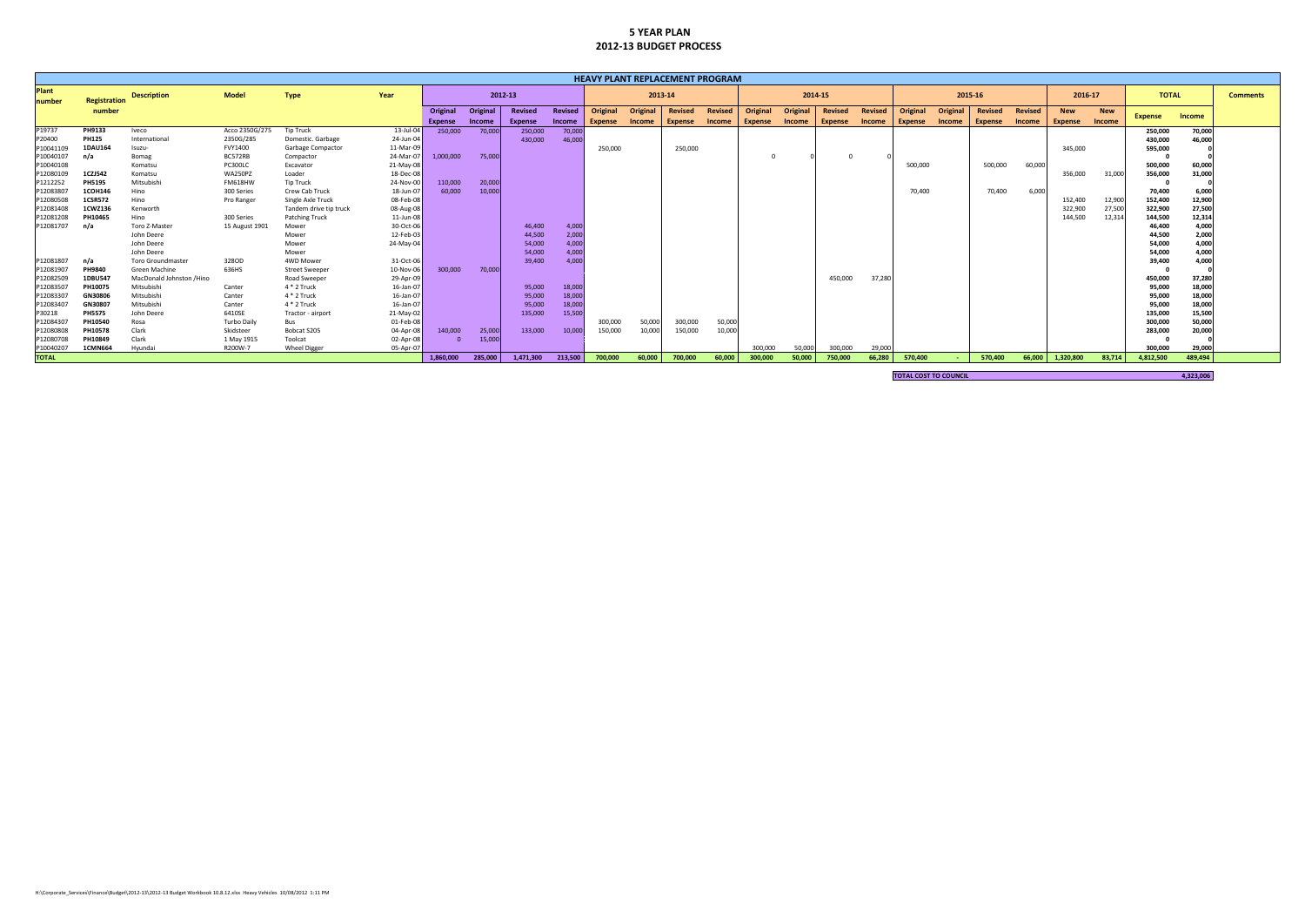|                        | <b>HEAVY PLANT REPLACEMENT PROGRAM</b> |                          |                    |                        |           |                |          |                |         |                |          |                |                |          |                    |                |         |                              |                 |                |                 |            |            |                |           |  |
|------------------------|----------------------------------------|--------------------------|--------------------|------------------------|-----------|----------------|----------|----------------|---------|----------------|----------|----------------|----------------|----------|--------------------|----------------|---------|------------------------------|-----------------|----------------|-----------------|------------|------------|----------------|-----------|--|
| <b>Plant</b><br>number | Registration                           | <b>Description</b>       | <b>Model</b>       | <b>Type</b>            | Year      |                | 2012-13  |                |         |                | 2013-14  |                |                |          | 2015-16<br>2014-15 |                |         | 2016-17<br><b>TOTAL</b>      |                 |                | <b>Comments</b> |            |            |                |           |  |
|                        | number                                 |                          |                    |                        |           | Original       | Original | Revised        | Revised | Original       | Original | <b>Revised</b> | <b>Revised</b> | Original | Original           | <b>Revised</b> | Revised | Original                     | <b>Original</b> | <b>Revised</b> | <b>Revised</b>  | <b>New</b> | <b>New</b> | <b>Expense</b> | Income    |  |
|                        |                                        |                          |                    |                        |           | <b>Expense</b> | Income   | <b>Expense</b> | Income  | <b>Expense</b> | Income   | <b>Expense</b> | <b>Income</b>  | Expense  | <b>Income</b>      | <b>Expense</b> | Income  | Expense                      | <b>Income</b>   | <b>Expense</b> | <b>Income</b>   | Expense    | Income     |                |           |  |
| P <sub>19737</sub>     | PH9133                                 | Iveco                    | Acco 2350G/275     | Tip Truck              | 13-Jul-04 | 250,000        | 70,000   | 250,000        | 70,000  |                |          |                |                |          |                    |                |         |                              |                 |                |                 |            |            | 250,000        | 70,000    |  |
| P20400                 | <b>PH125</b>                           | International            | 2350G/285          | Domestic, Garbage      | 24-Jun-04 |                |          | 430,000        | 46,000  |                |          |                |                |          |                    |                |         |                              |                 |                |                 |            |            | 430,000        | 46,000    |  |
| P10041109              | 1DAU164                                | Isuzu-                   | FVY1400            | Garbage Compactor      | 11-Mar-09 |                |          |                |         | 250,000        |          | 250,000        |                |          |                    |                |         |                              |                 |                |                 | 345,000    |            | 595,000        |           |  |
| P10040107              | n/a                                    | Bomag                    | BC572RB            | Compactor              | 24-Mar-07 | 1.000.000      | 75,000   |                |         |                |          |                |                |          |                    |                |         |                              |                 |                |                 |            |            |                |           |  |
| P10040108              |                                        | Komatsu                  | PC300LC            | Excavator              | 21-May-08 |                |          |                |         |                |          |                |                |          |                    |                |         | 500,000                      |                 | 500,000        | 60,000          |            |            | 500,000        | 60,000    |  |
| P12080109              | 1CZJ542                                | Komatsu                  | WA250PZ            | Loader                 | 18-Dec-08 |                |          |                |         |                |          |                |                |          |                    |                |         |                              |                 |                |                 | 356,000    | 31,000     | 356,000        | 31,000    |  |
| P1212252               | <b>PH5195</b>                          | Mitsubishi               | <b>FM618HW</b>     | Tip Truck              | 24-Nov-00 | 110,000        | 20,000   |                |         |                |          |                |                |          |                    |                |         |                              |                 |                |                 |            |            |                |           |  |
| P1208380               | 1COH146                                | Hino                     | 300 Series         | Crew Cab Truck         | 18-Jun-07 | 60,000         | 10,000   |                |         |                |          |                |                |          |                    |                |         | 70,400                       |                 | 70,400         | 6,000           |            |            | 70,400         | 6,000     |  |
| P12080508              | <b>1CSR572</b>                         | Hino                     | Pro Ranger         | Single Axle Truck      | 08-Feb-08 |                |          |                |         |                |          |                |                |          |                    |                |         |                              |                 |                |                 | 152,400    | 12,900     | 152,400        | 12,900    |  |
| P12081408              | 1CWZ136                                | Kenworth                 |                    | Tandem drive tip truck | 08-Aug-08 |                |          |                |         |                |          |                |                |          |                    |                |         |                              |                 |                |                 | 322,900    | 27,500     | 322,900        | 27,500    |  |
| P12081208              | PH10465                                | Hino                     | 300 Series         | <b>Patching Truck</b>  | 11-Jun-08 |                |          |                |         |                |          |                |                |          |                    |                |         |                              |                 |                |                 | 144,500    | 12,31      | 144,500        | 12,314    |  |
| P12081707              | n/a                                    | Toro Z-Master            | 15 August 1901     | Mower                  | 30-Oct-06 |                |          | 46,400         | 4,000   |                |          |                |                |          |                    |                |         |                              |                 |                |                 |            |            | 46,400         | 4,000     |  |
|                        |                                        | John Deere               |                    | Mower                  | 12-Feb-03 |                |          | 44,500         | 2,000   |                |          |                |                |          |                    |                |         |                              |                 |                |                 |            |            | 44,500         | 2,000     |  |
|                        |                                        | John Deere               |                    | Mower                  | 24-May-04 |                |          | 54,000         | 4,000   |                |          |                |                |          |                    |                |         |                              |                 |                |                 |            |            | 54,000         | 4,000     |  |
|                        |                                        | John Deere               |                    | Mower                  |           |                |          | 54,000         | 4,000   |                |          |                |                |          |                    |                |         |                              |                 |                |                 |            |            | 54,000         | 4,000     |  |
| P12081807              | n/a                                    | <b>Toro Groundmaster</b> | 328OD              | 4WD Mower              | 31-Oct-06 |                |          | 39,400         | 4,000   |                |          |                |                |          |                    |                |         |                              |                 |                |                 |            |            | 39,400         | 4,000     |  |
| P12081907              | PH9840                                 | Green Machine            | 636HS              | <b>Street Sweeper</b>  | 10-Nov-06 | 300,000        | 70,000   |                |         |                |          |                |                |          |                    |                |         |                              |                 |                |                 |            |            |                |           |  |
| P12082509              | 1DBU547                                | MacDonald Johnston /Hino |                    | Road Sweeper           | 29-Apr-09 |                |          |                |         |                |          |                |                |          |                    | 450,000        | 37,280  |                              |                 |                |                 |            |            | 450,000        | 37,280    |  |
| P12083507              | PH10075                                | Mitsubishi               | Canter             | 4 * 2 Truck            | 16-Jan-07 |                |          | 95,000         | 18,000  |                |          |                |                |          |                    |                |         |                              |                 |                |                 |            |            | 95,000         | 18,000    |  |
| P1208330               | GN30806                                | Mitsubishi               | Canter             | 4 * 2 Truck            | 16-Jan-07 |                |          | 95,000         | 18,000  |                |          |                |                |          |                    |                |         |                              |                 |                |                 |            |            | 95,000         | 18,000    |  |
| P12083407              | GN30807                                | Mitsubishi               | Canter             | 4 * 2 Truck            | 16-Jan-07 |                |          | 95,000         | 18,000  |                |          |                |                |          |                    |                |         |                              |                 |                |                 |            |            | 95,000         | 18,000    |  |
| P30218                 | <b>PH5575</b>                          | John Deere               | 6410SE             | Tractor - airport      | 21-May-02 |                |          | 135,000        | 15,500  |                |          |                |                |          |                    |                |         |                              |                 |                |                 |            |            | 135,000        | 15,500    |  |
| P1208430               | PH10540                                | Rosa                     | <b>Turbo Daily</b> | Bus                    | 01-Feb-08 |                |          |                |         | 300,000        | 50,000   | 300,000        | 50,000         |          |                    |                |         |                              |                 |                |                 |            |            | 300,000        | 50,000    |  |
| P12080808              | PH1057                                 | Clark                    | Skidsteer          | Bobcat S205            | 04-Apr-08 | 140,000        | 25,000   | 133,000        | 10.000  | 150,000        | 10,000   | 150,000        | 10,000         |          |                    |                |         |                              |                 |                |                 |            |            | 283,000        | 20,000    |  |
| P12080708              | PH10849                                | Clark                    | 1 May 1915         | Toolcat                | 02-Apr-08 |                | 15,000   |                |         |                |          |                |                |          |                    |                |         |                              |                 |                |                 |            |            |                |           |  |
| P10040207              | <b>1CMN664</b>                         | Hvundai                  | R200W-7            | <b>Wheel Digger</b>    | 05-Apr-07 |                |          |                |         |                |          |                |                | 300.000  | 50.000             | 300,000        | 29,000  |                              |                 |                |                 |            |            | 300,000        | 29,000    |  |
| <b>TOTAL</b>           |                                        |                          |                    |                        |           | 1,860,000      | 285,000  | 1,471,300      | 213,500 | 700,000        | 60,000   | 700,000        | 60,000         | 300,000  | 50,000             | 750,000        | 66,280  | 570,400                      |                 | 570,400        | 66,000          | 1,320,800  | 83,714     | 4,812,500      | 489,494   |  |
|                        |                                        |                          |                    |                        |           |                |          |                |         |                |          |                |                |          |                    |                |         |                              |                 |                |                 |            |            |                |           |  |
|                        |                                        |                          |                    |                        |           |                |          |                |         |                |          |                |                |          |                    |                |         | <b>TOTAL COST TO COUNCIL</b> |                 |                |                 |            |            |                | 4,323,006 |  |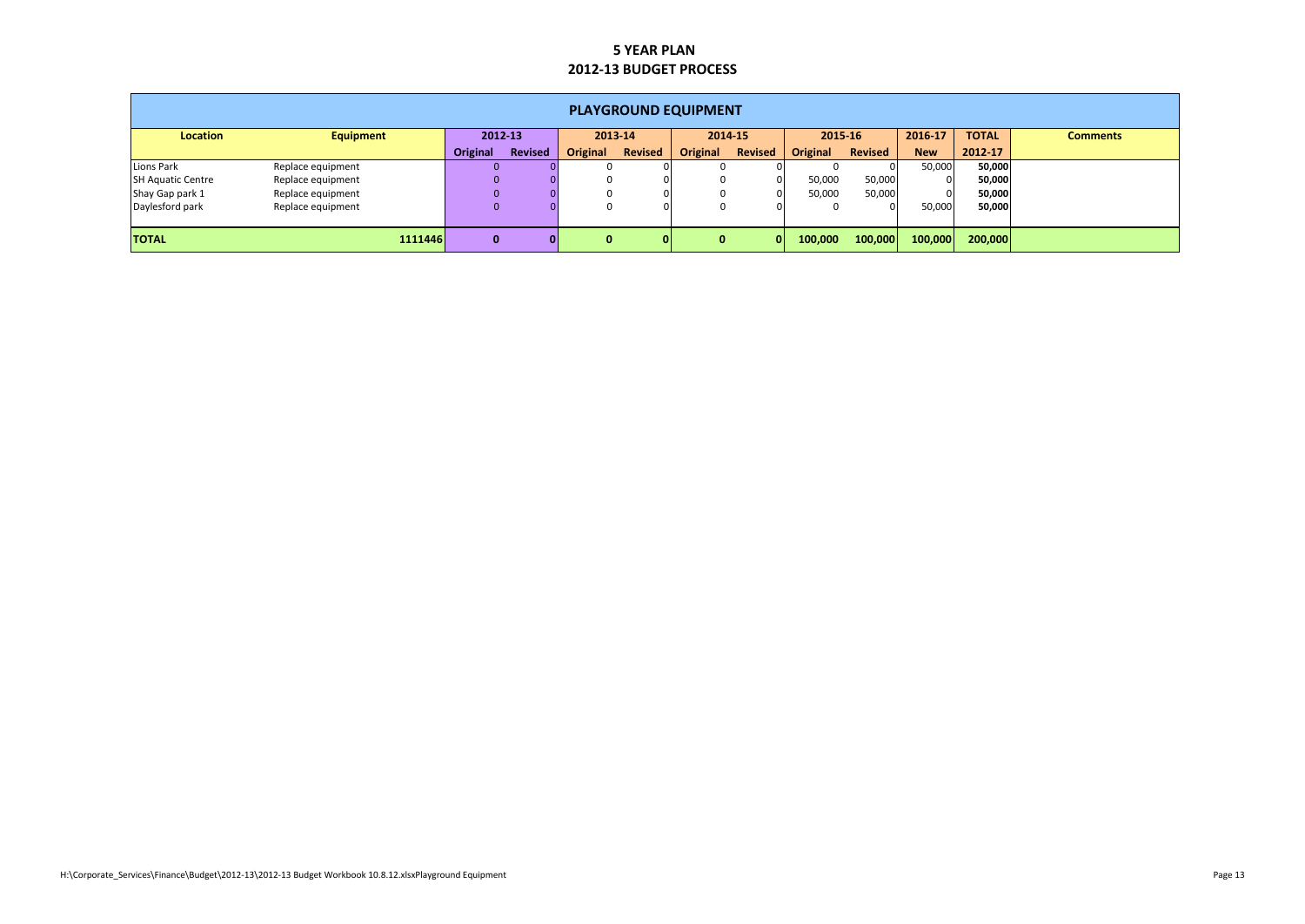|                          | <b>PLAYGROUND EQUIPMENT</b> |              |                |                 |                |                 |                         |          |                |            |              |                 |  |  |  |
|--------------------------|-----------------------------|--------------|----------------|-----------------|----------------|-----------------|-------------------------|----------|----------------|------------|--------------|-----------------|--|--|--|
| Location                 | <b>Equipment</b>            | 2012-13      |                |                 | 2013-14        |                 | 2014-15                 |          | 2015-16        | 2016-17    | <b>TOTAL</b> | <b>Comments</b> |  |  |  |
|                          |                             | Original     | <b>Revised</b> | <b>Original</b> | <b>Revised</b> | <b>Original</b> | <b>Revised</b>          | Original | <b>Revised</b> | <b>New</b> | 2012-17      |                 |  |  |  |
| Lions Park               | Replace equipment           |              |                |                 |                | 0               |                         |          |                | 50,000     | 50,000       |                 |  |  |  |
| <b>SH Aquatic Centre</b> | Replace equipment           | $\Omega$     |                |                 |                | 0               | 0                       | 50,000   | 50,000         |            | 50,000       |                 |  |  |  |
| Shay Gap park 1          | Replace equipment           |              |                |                 |                | 0               | 0                       | 50,000   | 50,000         |            | 50,000       |                 |  |  |  |
| Daylesford park          | Replace equipment           | $\Omega$     |                |                 |                | 0               |                         |          |                | 50,000     | 50,000       |                 |  |  |  |
|                          |                             |              |                |                 |                |                 |                         |          |                |            |              |                 |  |  |  |
| <b>TOTAL</b>             | 1111446                     | $\mathbf{0}$ | Οl             | $\bf{0}$        |                | $\mathbf{0}$    | $\overline{\mathbf{0}}$ | 100,000  | 100,000        | 100,000    | 200,000      |                 |  |  |  |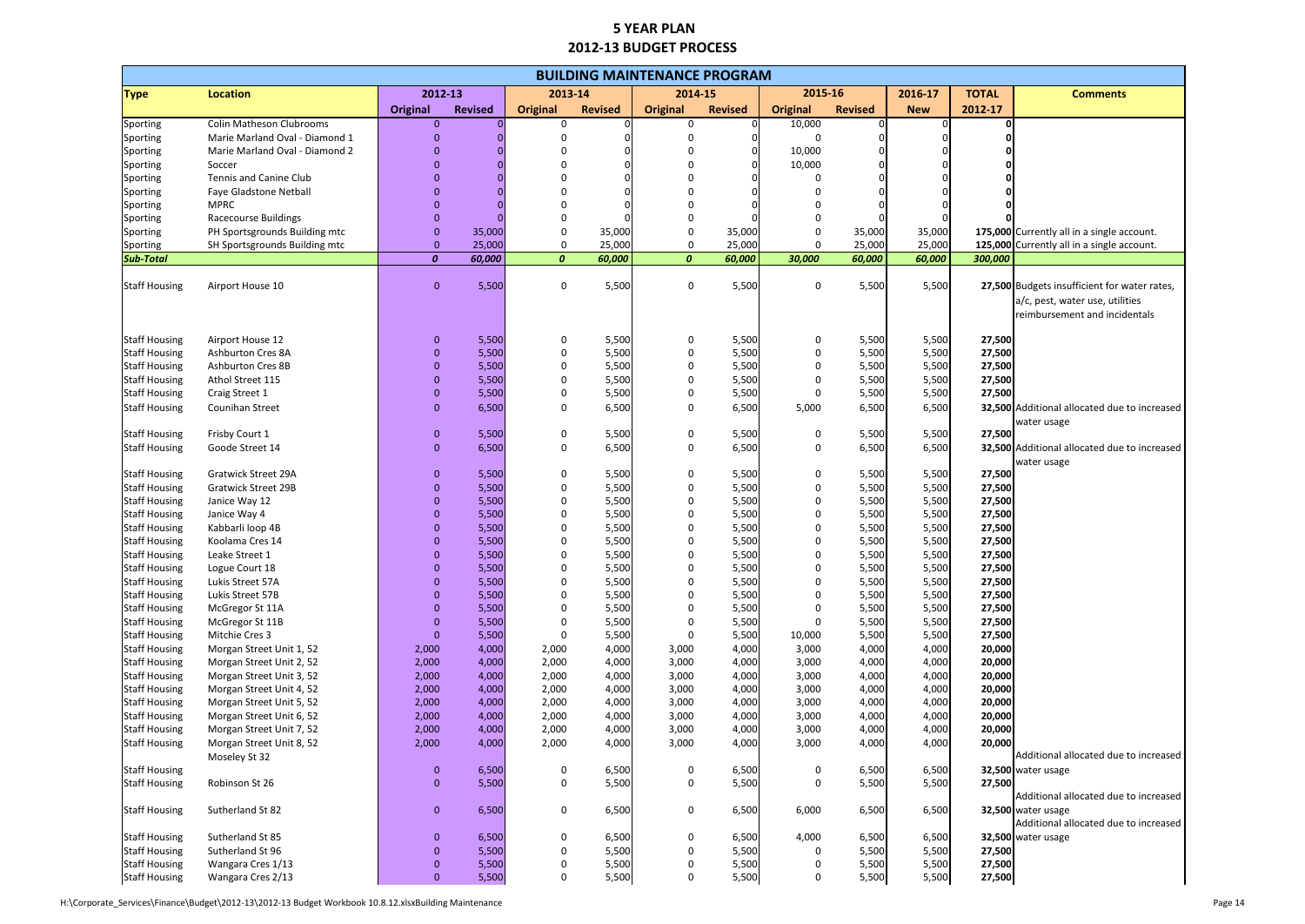|                                              | <b>BUILDING MAINTENANCE PROGRAM</b>              |                               |                |                  |                |                            |                |                 |                |                |                  |                                              |  |  |
|----------------------------------------------|--------------------------------------------------|-------------------------------|----------------|------------------|----------------|----------------------------|----------------|-----------------|----------------|----------------|------------------|----------------------------------------------|--|--|
| <b>Type</b>                                  | <b>Location</b>                                  |                               | 2012-13        | 2013-14          |                | 2014-15                    |                | 2015-16         |                | 2016-17        | <b>TOTAL</b>     | <b>Comments</b>                              |  |  |
|                                              |                                                  | Original                      | <b>Revised</b> | <b>Original</b>  | <b>Revised</b> | <b>Original</b>            | <b>Revised</b> | <b>Original</b> | <b>Revised</b> | <b>New</b>     | 2012-17          |                                              |  |  |
| Sporting                                     | Colin Matheson Clubrooms                         | $\mathbf{0}$                  |                | 0                |                | $\Omega$                   |                | 10,000          |                |                |                  |                                              |  |  |
| Sporting                                     | Marie Marland Oval - Diamond 1                   |                               |                |                  |                |                            | 0              | 0               |                |                |                  |                                              |  |  |
| Sporting                                     | Marie Marland Oval - Diamond 2                   |                               |                |                  |                |                            | 0              | 10,000          |                |                |                  |                                              |  |  |
| Sporting                                     | Soccer                                           |                               |                |                  |                |                            | $\Omega$       | 10,000          |                |                |                  |                                              |  |  |
| Sporting                                     | Tennis and Canine Club<br>Faye Gladstone Netball |                               |                |                  |                |                            |                | O               |                |                |                  |                                              |  |  |
| Sporting<br>Sporting                         | <b>MPRC</b>                                      | $\Omega$                      |                |                  |                |                            |                |                 |                |                |                  |                                              |  |  |
| Sporting                                     | <b>Racecourse Buildings</b>                      | $\Omega$                      |                | O                |                | $\Omega$                   |                | 0               |                |                |                  |                                              |  |  |
| Sporting                                     | PH Sportsgrounds Building mtc                    | $\mathbf{0}$                  | 35,000         | 0                | 35,000         | $\mathbf 0$                | 35,000         | 0               | 35,000         | 35,000         |                  | 175,000 Currently all in a single account.   |  |  |
| Sporting                                     | SH Sportsgrounds Building mtc                    | $\mathbf{0}$                  | 25,000         | $\mathbf 0$      | 25,000         | $\mathbf 0$                | 25,000         | $\Omega$        | 25,000         | 25,000         |                  | 125,000 Currently all in a single account.   |  |  |
| <b>Sub-Total</b>                             |                                                  | $\boldsymbol{0}$              | 60,000         | $\boldsymbol{0}$ | 60,000         | $\boldsymbol{o}$           | 60,000         | 30,000          | 60,000         | 60,000         | 300,000          |                                              |  |  |
|                                              |                                                  |                               |                |                  |                |                            |                |                 |                |                |                  |                                              |  |  |
| <b>Staff Housing</b>                         | Airport House 10                                 | $\mathbf{0}$                  | 5,500          | 0                | 5,500          | 0                          | 5,500          | 0               | 5,500          | 5,500          |                  | 27,500 Budgets insufficient for water rates, |  |  |
|                                              |                                                  |                               |                |                  |                |                            |                |                 |                |                |                  | a/c, pest, water use, utilities              |  |  |
|                                              |                                                  |                               |                |                  |                |                            |                |                 |                |                |                  | reimbursement and incidentals                |  |  |
|                                              |                                                  |                               |                |                  |                |                            |                |                 |                |                |                  |                                              |  |  |
| <b>Staff Housing</b>                         | Airport House 12                                 | $\mathbf 0$                   | 5,500          | 0                | 5,500          | 0                          | 5,500          | 0               | 5,500          | 5,500          | 27,500           |                                              |  |  |
| <b>Staff Housing</b>                         | Ashburton Cres 8A                                | $\Omega$                      | 5,500          | 0                | 5,500          | $\mathbf 0$                | 5,500          | 0               | 5,500          | 5,500          | 27,500           |                                              |  |  |
| <b>Staff Housing</b>                         | <b>Ashburton Cres 8B</b>                         | 0                             | 5,500          | 0                | 5,500          | 0                          | 5,500          | 0               | 5,500          | 5,500          | 27,500           |                                              |  |  |
| <b>Staff Housing</b>                         | Athol Street 115                                 | 0                             | 5,500<br>5,500 | 0<br>0           | 5,500          | $\mathbf 0$                | 5,500          | 0               | 5,500          | 5,500          | 27,500           |                                              |  |  |
| <b>Staff Housing</b>                         | Craig Street 1<br>Counihan Street                | $\mathbf{0}$                  | 6,500          | 0                | 5,500<br>6,500 | $\mathbf 0$<br>$\mathbf 0$ | 5,500<br>6,500 | 0<br>5,000      | 5,500<br>6,500 | 5,500<br>6,500 | 27,500           | 32,500 Additional allocated due to increased |  |  |
| <b>Staff Housing</b>                         |                                                  | $\mathbf{0}$                  |                |                  |                |                            |                |                 |                |                |                  | water usage                                  |  |  |
| <b>Staff Housing</b>                         | Frisby Court 1                                   | $\pmb{0}$                     | 5,500          | 0                | 5,500          | 0                          | 5,500          | 0               | 5,500          | 5,500          | 27,500           |                                              |  |  |
| <b>Staff Housing</b>                         | Goode Street 14                                  | $\mathbf{0}$                  | 6,500          | 0                | 6,500          | 0                          | 6,500          | 0               | 6,500          | 6,500          |                  | 32,500 Additional allocated due to increased |  |  |
|                                              |                                                  |                               |                |                  |                |                            |                |                 |                |                |                  | water usage                                  |  |  |
| <b>Staff Housing</b>                         | <b>Gratwick Street 29A</b>                       | $\mathbf 0$                   | 5,500          | 0                | 5,500          | 0                          | 5,500          | 0               | 5,500          | 5,500          | 27,500           |                                              |  |  |
| <b>Staff Housing</b>                         | <b>Gratwick Street 29B</b>                       | 0                             | 5,500          | 0                | 5,500          | $\Omega$                   | 5,500          | 0               | 5,500          | 5,500          | 27,500           |                                              |  |  |
| <b>Staff Housing</b>                         | Janice Way 12                                    | $\Omega$                      | 5,500          | 0                | 5,500          | $\Omega$                   | 5,500          | 0               | 5,500          | 5,500          | 27,500           |                                              |  |  |
| <b>Staff Housing</b>                         | Janice Way 4                                     | O                             | 5,500          | O                | 5,500          | $\Omega$                   | 5,500          | 0               | 5,500          | 5,500          | 27,500           |                                              |  |  |
| <b>Staff Housing</b>                         | Kabbarli loop 4B                                 |                               | 5,500          |                  | 5,500          |                            | 5,500          | <sup>0</sup>    | 5,500          | 5,500          | 27,500           |                                              |  |  |
| <b>Staff Housing</b>                         | Koolama Cres 14                                  |                               | 5,500          |                  | 5,500          |                            | 5,500          | 0               | 5,500          | 5,500          | 27,500           |                                              |  |  |
| <b>Staff Housing</b>                         | Leake Street 1                                   |                               | 5,500          |                  | 5,500          |                            | 5,500          |                 | 5,500          | 5,500          | 27,500           |                                              |  |  |
| <b>Staff Housing</b>                         | Logue Court 18                                   | $\mathbf{0}$                  | 5,500          | 0                | 5,500          | 0                          | 5,500          | 0               | 5,500          | 5,500          | 27,500           |                                              |  |  |
| <b>Staff Housing</b>                         | Lukis Street 57A                                 | $\mathbf 0$<br>$\overline{0}$ | 5,500          | 0<br>0           | 5,500          | 0<br>0                     | 5,500          | 0               | 5,500          | 5,500          | 27,500           |                                              |  |  |
| <b>Staff Housing</b><br><b>Staff Housing</b> | Lukis Street 57B<br>McGregor St 11A              | 0                             | 5,500<br>5,500 | 0                | 5,500<br>5,500 | 0                          | 5,500<br>5,500 | 0<br>0          | 5,500<br>5,500 | 5,500<br>5,500 | 27,500<br>27,500 |                                              |  |  |
| <b>Staff Housing</b>                         | McGregor St 11B                                  | $\overline{0}$                | 5,500          | 0                | 5,500          | $\Omega$                   | 5,500          | 0               | 5,500          | 5,500          | 27,500           |                                              |  |  |
| <b>Staff Housing</b>                         | Mitchie Cres 3                                   | $\overline{0}$                | 5,500          | 0                | 5,500          | $\Omega$                   | 5,500          | 10,000          | 5,500          | 5,500          | 27,500           |                                              |  |  |
| <b>Staff Housing</b>                         | Morgan Street Unit 1, 52                         | 2,000                         | 4,000          | 2,000            | 4,000          | 3,000                      | 4,000          | 3,000           | 4,000          | 4,000          | 20,000           |                                              |  |  |
| <b>Staff Housing</b>                         | Morgan Street Unit 2, 52                         | 2,000                         | 4,000          | 2,000            | 4,000          | 3,000                      | 4,000          | 3,000           | 4,000          | 4,000          | 20,000           |                                              |  |  |
| <b>Staff Housing</b>                         | Morgan Street Unit 3, 52                         | 2,000                         | 4,000          | 2,000            | 4,000          | 3,000                      | 4,000          | 3,000           | 4,000          | 4,000          | 20,000           |                                              |  |  |
| <b>Staff Housing</b>                         | Morgan Street Unit 4, 52                         | 2,000                         | 4,000          | 2,000            | 4,000          | 3,000                      | 4,000          | 3,000           | 4,000          | 4,000          | 20,000           |                                              |  |  |
| <b>Staff Housing</b>                         | Morgan Street Unit 5, 52                         | 2,000                         | 4,000          | 2,000            | 4,000          | 3,000                      | 4,000          | 3,000           | 4,000          | 4,000          | 20,000           |                                              |  |  |
| <b>Staff Housing</b>                         | Morgan Street Unit 6, 52                         | 2,000                         | 4,000          | 2,000            | 4,000          | 3,000                      | 4,000          | 3,000           | 4,000          | 4,000          | 20,000           |                                              |  |  |
| <b>Staff Housing</b>                         | Morgan Street Unit 7, 52                         | 2,000                         | 4,000          | 2,000            | 4,000          | 3,000                      | 4,000          | 3,000           | 4,000          | 4,000          | 20,000           |                                              |  |  |
| <b>Staff Housing</b>                         | Morgan Street Unit 8, 52                         | 2,000                         | 4,000          | 2,000            | 4,000          | 3,000                      | 4,000          | 3,000           | 4,000          | 4,000          | 20,000           |                                              |  |  |
|                                              | Moseley St 32                                    |                               |                |                  |                |                            |                |                 |                |                |                  | Additional allocated due to increased        |  |  |
| <b>Staff Housing</b>                         |                                                  | $\boldsymbol{0}$              | 6,500          | 0                | 6,500          | 0                          | 6,500          | 0               | 6,500          | 6,500          |                  | 32,500 water usage                           |  |  |
| <b>Staff Housing</b>                         | Robinson St 26                                   | $\mathbf{0}$                  | 5,500          | 0                | 5,500          | 0                          | 5,500          | 0               | 5,500          | 5,500          | 27,500           | Additional allocated due to increased        |  |  |
| <b>Staff Housing</b>                         | Sutherland St 82                                 | $\mathbf{0}$                  | 6,500          | 0                | 6,500          | 0                          | 6,500          | 6,000           | 6,500          | 6,500          |                  | 32,500 water usage                           |  |  |
|                                              |                                                  |                               |                |                  |                |                            |                |                 |                |                |                  | Additional allocated due to increased        |  |  |
| <b>Staff Housing</b>                         | Sutherland St 85                                 | $\mathbf{0}$                  | 6,500          | 0                | 6,500          | 0                          | 6,500          | 4,000           | 6,500          | 6,500          |                  | 32,500 water usage                           |  |  |
| <b>Staff Housing</b>                         | Sutherland St 96                                 | $\pmb{0}$                     | 5,500          | 0                | 5,500          | 0                          | 5,500          | 0               | 5,500          | 5,500          | 27,500           |                                              |  |  |
| <b>Staff Housing</b>                         | Wangara Cres 1/13                                | $\mathbf{0}$                  | 5,500          | 0                | 5,500          | $\pmb{0}$                  | 5,500          | 0               | 5,500          | 5,500          | 27,500           |                                              |  |  |
| <b>Staff Housing</b>                         | Wangara Cres 2/13                                | $\overline{0}$                | 5,500          | 0                | 5,500          | $\mathbf 0$                | 5,500          | 0               | 5,500          | 5,500          | 27,500           |                                              |  |  |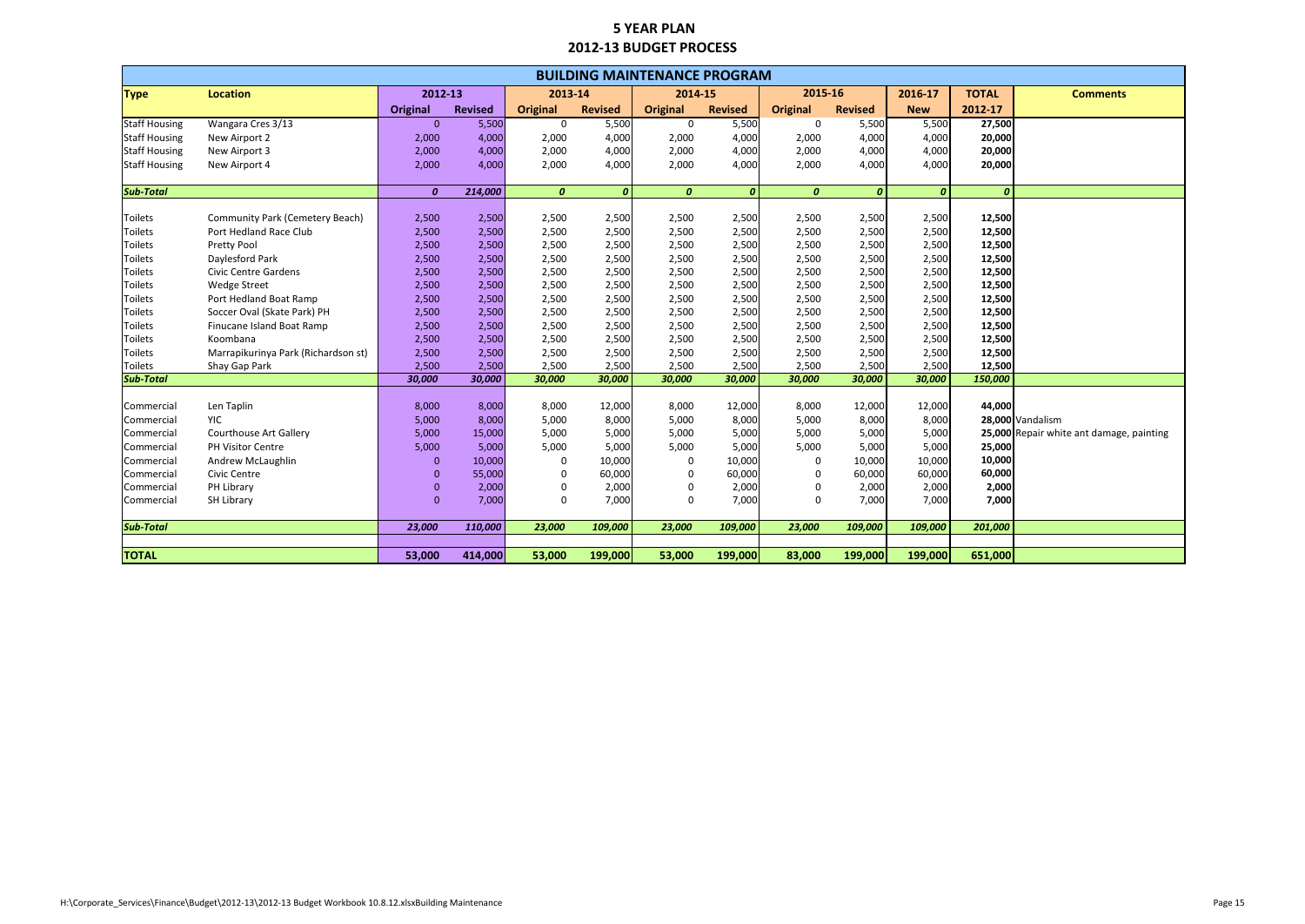| 2015-16<br><b>Type</b><br><b>Location</b><br>2012-13<br>2013-14<br>2014-15<br>2016-17<br><b>TOTAL</b><br><b>Comments</b><br><b>Revised</b><br>2012-17<br><b>Original</b><br><b>Revised</b><br><b>Original</b><br><b>Revised</b><br><b>Original</b><br><b>Revised</b><br>Original<br><b>New</b><br>5,500<br>Wangara Cres 3/13<br>$\mathbf{0}$<br>5,500<br>0<br>5,500<br>5,500<br>5,500<br>27,500<br>0<br>0<br>4,000<br>4,000<br>4,000<br>4,000<br>20,000<br>New Airport 2<br>2,000<br>2,000<br>2,000<br>4,000<br>2,000<br>4,000<br>2,000<br>4,000<br>2,000<br>4,000<br>4,000<br>20,000<br>New Airport 3<br>2,000<br>4,000<br>2,000<br>4,000<br>4,000<br>4,000<br>2,000<br>4,000<br>2,000<br>2,000<br>4,000<br>2,000<br>20,000<br>New Airport 4<br>$\boldsymbol{0}$<br>$\boldsymbol{o}$<br>$\boldsymbol{0}$<br>$\boldsymbol{o}$<br>$\boldsymbol{0}$<br>214,000<br>$\boldsymbol{0}$<br>$\boldsymbol{0}$<br>$\boldsymbol{0}$<br>$\boldsymbol{o}$<br>Toilets<br>Community Park (Cemetery Beach)<br>2,500<br>2,500<br>2,500<br>2,500<br>2,500<br>2,500<br>2,500<br>2,500<br>2,500<br>12,500<br>2,500<br>2,500<br>2,500<br>2,500<br><b>Toilets</b><br>Port Hedland Race Club<br>2,500<br>2,500<br>2,500<br>2,500<br>2,500<br>12,500<br>2,500<br>2,500<br>2,500<br>2,500<br>2,500<br>2,500<br>2,500<br>2,500<br>12,500<br><b>Toilets</b><br>Pretty Pool<br>2,500<br>2,500<br>2,500<br>2,500<br>2,500<br>2,500<br>2,500<br><b>Toilets</b><br>Daylesford Park<br>2,500<br>2,500<br>2,500<br>12,500<br>2,500<br>2,500<br><b>Toilets</b><br>2,500<br>2,500<br>2,500<br>2,500<br>2,500<br>2,500<br>12,500<br><b>Civic Centre Gardens</b><br>2,500<br>2,500<br>2,500<br>2,500<br>2,500<br>2,500<br>12,500<br><b>Toilets</b><br><b>Wedge Street</b><br>2,500<br>2,500<br>2,500<br>2,500<br>2,500<br>2,500<br>2,500<br>2,500<br><b>Toilets</b><br>2,500<br>2,500<br>2,500<br>2,500<br>2,500<br>12,500<br>Port Hedland Boat Ramp<br>2,500<br>2,500<br><b>Toilets</b><br>Soccer Oval (Skate Park) PH<br>2,500<br>2,500<br>2,500<br>2,500<br>2,500<br>2,500<br>12,500<br>2,500<br>2,500<br>2,500<br>2,500<br>2,500<br><b>Toilets</b><br>Finucane Island Boat Ramp<br>2,500<br>2,500<br>2,500<br>2,500<br>2,500<br>12,500<br>2,500<br>2,500<br>Toilets<br>Koombana<br>2,500<br>2,500<br>2,500<br>2,500<br>2,500<br>2,500<br>12,500<br>2,500<br>2,500<br>2,500<br>2,500<br>2,500<br>2,500<br>12,500<br><b>Toilets</b><br>Marrapikurinya Park (Richardson st)<br>2,500<br>2,500<br>2,500<br>2,500<br>2,500<br>2,500<br>2,500<br>2,500<br>2,500<br>12,500<br><b>Toilets</b><br>Shay Gap Park<br>2,500<br>2,500<br>2,500<br>2,500<br><b>Sub-Total</b><br>30,000<br>30,000<br>30,000<br>30,000<br>30,000<br>30,000<br>30,000<br>150,000<br>30,000<br>30,000<br>Len Taplin<br>8,000<br>8,000<br>8,000<br>12,000<br>8,000<br>8,000<br>12,000<br>12,000<br>44,000<br>12,000<br>Commercial<br>YIC<br>5,000<br>8,000<br>8,000<br>5,000<br>8,000<br>28,000 Vandalism<br>5,000<br>8,000<br>5,000<br>8,000<br>Commercial<br>5,000<br>5,000<br><b>Courthouse Art Gallery</b><br>5,000<br>15,000<br>5,000<br>5,000<br>5,000<br>5,000<br>5,000<br>25,000 Repair white ant damage, painting<br>Commercial<br>5,000<br>25,000<br>5,000<br>5,000<br>5,000<br>5,000<br>5,000<br>Commercial<br><b>PH Visitor Centre</b><br>5,000<br>5,000<br>5,000<br>10,000<br>10,000<br>Andrew McLaughlin<br>10,000<br>10,000<br>10,000<br>Commercial<br>$\Omega$<br>$\mathbf{0}$<br>0<br>0<br>10,000<br>60,000<br>60,000<br>55,000<br>60,000<br>$\Omega$<br>60,000<br>$\mathbf 0$<br>Commercial<br>Civic Centre<br>$\Omega$<br>$\mathbf 0$<br>60,000<br>PH Library<br>2,000<br>2,000<br>2,000<br>2,000<br>Commercial<br>$\mathbf{0}$<br>$\Omega$<br>2,000<br>0<br>2,000<br>0<br>$\mathbf{0}$<br>7,000<br>7,000<br>7,000<br>7,000<br>SH Library<br>$\mathbf{0}$<br>7,000<br>$\Omega$<br>7,000<br>Commercial<br>$\mathbf{0}$<br><b>Sub-Total</b><br>23,000<br>201,000<br>23,000<br>110,000<br>23,000<br>109,000<br>109,000<br>23,000<br>109,000<br>109,000<br><b>TOTAL</b><br>53,000<br>414,000<br>53,000<br>199,000<br>53,000<br>199,000<br>83,000<br>199,000<br>199,000<br>651,000 |                      | <b>BUILDING MAINTENANCE PROGRAM</b> |  |  |  |  |  |  |  |  |  |  |  |  |  |
|------------------------------------------------------------------------------------------------------------------------------------------------------------------------------------------------------------------------------------------------------------------------------------------------------------------------------------------------------------------------------------------------------------------------------------------------------------------------------------------------------------------------------------------------------------------------------------------------------------------------------------------------------------------------------------------------------------------------------------------------------------------------------------------------------------------------------------------------------------------------------------------------------------------------------------------------------------------------------------------------------------------------------------------------------------------------------------------------------------------------------------------------------------------------------------------------------------------------------------------------------------------------------------------------------------------------------------------------------------------------------------------------------------------------------------------------------------------------------------------------------------------------------------------------------------------------------------------------------------------------------------------------------------------------------------------------------------------------------------------------------------------------------------------------------------------------------------------------------------------------------------------------------------------------------------------------------------------------------------------------------------------------------------------------------------------------------------------------------------------------------------------------------------------------------------------------------------------------------------------------------------------------------------------------------------------------------------------------------------------------------------------------------------------------------------------------------------------------------------------------------------------------------------------------------------------------------------------------------------------------------------------------------------------------------------------------------------------------------------------------------------------------------------------------------------------------------------------------------------------------------------------------------------------------------------------------------------------------------------------------------------------------------------------------------------------------------------------------------------------------------------------------------------------------------------------------------------------------------------------------------------------------------------------------------------------------------------------------------------------------------------------------------------------------------------------------------------------------------------------------------------------------------------------------------------------------------------------------------------------------------------------------------------------------------------------------------------------------------------------------------------------------------------------------------------------------------------------------------------------------------------------------------------------------------------------------------------------------------------------------------------------------------------------------------------------------------------------------------------------------------|----------------------|-------------------------------------|--|--|--|--|--|--|--|--|--|--|--|--|--|
|                                                                                                                                                                                                                                                                                                                                                                                                                                                                                                                                                                                                                                                                                                                                                                                                                                                                                                                                                                                                                                                                                                                                                                                                                                                                                                                                                                                                                                                                                                                                                                                                                                                                                                                                                                                                                                                                                                                                                                                                                                                                                                                                                                                                                                                                                                                                                                                                                                                                                                                                                                                                                                                                                                                                                                                                                                                                                                                                                                                                                                                                                                                                                                                                                                                                                                                                                                                                                                                                                                                                                                                                                                                                                                                                                                                                                                                                                                                                                                                                                                                                                                                              |                      |                                     |  |  |  |  |  |  |  |  |  |  |  |  |  |
|                                                                                                                                                                                                                                                                                                                                                                                                                                                                                                                                                                                                                                                                                                                                                                                                                                                                                                                                                                                                                                                                                                                                                                                                                                                                                                                                                                                                                                                                                                                                                                                                                                                                                                                                                                                                                                                                                                                                                                                                                                                                                                                                                                                                                                                                                                                                                                                                                                                                                                                                                                                                                                                                                                                                                                                                                                                                                                                                                                                                                                                                                                                                                                                                                                                                                                                                                                                                                                                                                                                                                                                                                                                                                                                                                                                                                                                                                                                                                                                                                                                                                                                              |                      |                                     |  |  |  |  |  |  |  |  |  |  |  |  |  |
|                                                                                                                                                                                                                                                                                                                                                                                                                                                                                                                                                                                                                                                                                                                                                                                                                                                                                                                                                                                                                                                                                                                                                                                                                                                                                                                                                                                                                                                                                                                                                                                                                                                                                                                                                                                                                                                                                                                                                                                                                                                                                                                                                                                                                                                                                                                                                                                                                                                                                                                                                                                                                                                                                                                                                                                                                                                                                                                                                                                                                                                                                                                                                                                                                                                                                                                                                                                                                                                                                                                                                                                                                                                                                                                                                                                                                                                                                                                                                                                                                                                                                                                              | <b>Staff Housing</b> |                                     |  |  |  |  |  |  |  |  |  |  |  |  |  |
|                                                                                                                                                                                                                                                                                                                                                                                                                                                                                                                                                                                                                                                                                                                                                                                                                                                                                                                                                                                                                                                                                                                                                                                                                                                                                                                                                                                                                                                                                                                                                                                                                                                                                                                                                                                                                                                                                                                                                                                                                                                                                                                                                                                                                                                                                                                                                                                                                                                                                                                                                                                                                                                                                                                                                                                                                                                                                                                                                                                                                                                                                                                                                                                                                                                                                                                                                                                                                                                                                                                                                                                                                                                                                                                                                                                                                                                                                                                                                                                                                                                                                                                              | <b>Staff Housing</b> |                                     |  |  |  |  |  |  |  |  |  |  |  |  |  |
|                                                                                                                                                                                                                                                                                                                                                                                                                                                                                                                                                                                                                                                                                                                                                                                                                                                                                                                                                                                                                                                                                                                                                                                                                                                                                                                                                                                                                                                                                                                                                                                                                                                                                                                                                                                                                                                                                                                                                                                                                                                                                                                                                                                                                                                                                                                                                                                                                                                                                                                                                                                                                                                                                                                                                                                                                                                                                                                                                                                                                                                                                                                                                                                                                                                                                                                                                                                                                                                                                                                                                                                                                                                                                                                                                                                                                                                                                                                                                                                                                                                                                                                              | <b>Staff Housing</b> |                                     |  |  |  |  |  |  |  |  |  |  |  |  |  |
|                                                                                                                                                                                                                                                                                                                                                                                                                                                                                                                                                                                                                                                                                                                                                                                                                                                                                                                                                                                                                                                                                                                                                                                                                                                                                                                                                                                                                                                                                                                                                                                                                                                                                                                                                                                                                                                                                                                                                                                                                                                                                                                                                                                                                                                                                                                                                                                                                                                                                                                                                                                                                                                                                                                                                                                                                                                                                                                                                                                                                                                                                                                                                                                                                                                                                                                                                                                                                                                                                                                                                                                                                                                                                                                                                                                                                                                                                                                                                                                                                                                                                                                              | <b>Staff Housing</b> |                                     |  |  |  |  |  |  |  |  |  |  |  |  |  |
|                                                                                                                                                                                                                                                                                                                                                                                                                                                                                                                                                                                                                                                                                                                                                                                                                                                                                                                                                                                                                                                                                                                                                                                                                                                                                                                                                                                                                                                                                                                                                                                                                                                                                                                                                                                                                                                                                                                                                                                                                                                                                                                                                                                                                                                                                                                                                                                                                                                                                                                                                                                                                                                                                                                                                                                                                                                                                                                                                                                                                                                                                                                                                                                                                                                                                                                                                                                                                                                                                                                                                                                                                                                                                                                                                                                                                                                                                                                                                                                                                                                                                                                              |                      |                                     |  |  |  |  |  |  |  |  |  |  |  |  |  |
|                                                                                                                                                                                                                                                                                                                                                                                                                                                                                                                                                                                                                                                                                                                                                                                                                                                                                                                                                                                                                                                                                                                                                                                                                                                                                                                                                                                                                                                                                                                                                                                                                                                                                                                                                                                                                                                                                                                                                                                                                                                                                                                                                                                                                                                                                                                                                                                                                                                                                                                                                                                                                                                                                                                                                                                                                                                                                                                                                                                                                                                                                                                                                                                                                                                                                                                                                                                                                                                                                                                                                                                                                                                                                                                                                                                                                                                                                                                                                                                                                                                                                                                              | <b>Sub-Total</b>     |                                     |  |  |  |  |  |  |  |  |  |  |  |  |  |
|                                                                                                                                                                                                                                                                                                                                                                                                                                                                                                                                                                                                                                                                                                                                                                                                                                                                                                                                                                                                                                                                                                                                                                                                                                                                                                                                                                                                                                                                                                                                                                                                                                                                                                                                                                                                                                                                                                                                                                                                                                                                                                                                                                                                                                                                                                                                                                                                                                                                                                                                                                                                                                                                                                                                                                                                                                                                                                                                                                                                                                                                                                                                                                                                                                                                                                                                                                                                                                                                                                                                                                                                                                                                                                                                                                                                                                                                                                                                                                                                                                                                                                                              |                      |                                     |  |  |  |  |  |  |  |  |  |  |  |  |  |
|                                                                                                                                                                                                                                                                                                                                                                                                                                                                                                                                                                                                                                                                                                                                                                                                                                                                                                                                                                                                                                                                                                                                                                                                                                                                                                                                                                                                                                                                                                                                                                                                                                                                                                                                                                                                                                                                                                                                                                                                                                                                                                                                                                                                                                                                                                                                                                                                                                                                                                                                                                                                                                                                                                                                                                                                                                                                                                                                                                                                                                                                                                                                                                                                                                                                                                                                                                                                                                                                                                                                                                                                                                                                                                                                                                                                                                                                                                                                                                                                                                                                                                                              |                      |                                     |  |  |  |  |  |  |  |  |  |  |  |  |  |
|                                                                                                                                                                                                                                                                                                                                                                                                                                                                                                                                                                                                                                                                                                                                                                                                                                                                                                                                                                                                                                                                                                                                                                                                                                                                                                                                                                                                                                                                                                                                                                                                                                                                                                                                                                                                                                                                                                                                                                                                                                                                                                                                                                                                                                                                                                                                                                                                                                                                                                                                                                                                                                                                                                                                                                                                                                                                                                                                                                                                                                                                                                                                                                                                                                                                                                                                                                                                                                                                                                                                                                                                                                                                                                                                                                                                                                                                                                                                                                                                                                                                                                                              |                      |                                     |  |  |  |  |  |  |  |  |  |  |  |  |  |
|                                                                                                                                                                                                                                                                                                                                                                                                                                                                                                                                                                                                                                                                                                                                                                                                                                                                                                                                                                                                                                                                                                                                                                                                                                                                                                                                                                                                                                                                                                                                                                                                                                                                                                                                                                                                                                                                                                                                                                                                                                                                                                                                                                                                                                                                                                                                                                                                                                                                                                                                                                                                                                                                                                                                                                                                                                                                                                                                                                                                                                                                                                                                                                                                                                                                                                                                                                                                                                                                                                                                                                                                                                                                                                                                                                                                                                                                                                                                                                                                                                                                                                                              |                      |                                     |  |  |  |  |  |  |  |  |  |  |  |  |  |
|                                                                                                                                                                                                                                                                                                                                                                                                                                                                                                                                                                                                                                                                                                                                                                                                                                                                                                                                                                                                                                                                                                                                                                                                                                                                                                                                                                                                                                                                                                                                                                                                                                                                                                                                                                                                                                                                                                                                                                                                                                                                                                                                                                                                                                                                                                                                                                                                                                                                                                                                                                                                                                                                                                                                                                                                                                                                                                                                                                                                                                                                                                                                                                                                                                                                                                                                                                                                                                                                                                                                                                                                                                                                                                                                                                                                                                                                                                                                                                                                                                                                                                                              |                      |                                     |  |  |  |  |  |  |  |  |  |  |  |  |  |
|                                                                                                                                                                                                                                                                                                                                                                                                                                                                                                                                                                                                                                                                                                                                                                                                                                                                                                                                                                                                                                                                                                                                                                                                                                                                                                                                                                                                                                                                                                                                                                                                                                                                                                                                                                                                                                                                                                                                                                                                                                                                                                                                                                                                                                                                                                                                                                                                                                                                                                                                                                                                                                                                                                                                                                                                                                                                                                                                                                                                                                                                                                                                                                                                                                                                                                                                                                                                                                                                                                                                                                                                                                                                                                                                                                                                                                                                                                                                                                                                                                                                                                                              |                      |                                     |  |  |  |  |  |  |  |  |  |  |  |  |  |
|                                                                                                                                                                                                                                                                                                                                                                                                                                                                                                                                                                                                                                                                                                                                                                                                                                                                                                                                                                                                                                                                                                                                                                                                                                                                                                                                                                                                                                                                                                                                                                                                                                                                                                                                                                                                                                                                                                                                                                                                                                                                                                                                                                                                                                                                                                                                                                                                                                                                                                                                                                                                                                                                                                                                                                                                                                                                                                                                                                                                                                                                                                                                                                                                                                                                                                                                                                                                                                                                                                                                                                                                                                                                                                                                                                                                                                                                                                                                                                                                                                                                                                                              |                      |                                     |  |  |  |  |  |  |  |  |  |  |  |  |  |
|                                                                                                                                                                                                                                                                                                                                                                                                                                                                                                                                                                                                                                                                                                                                                                                                                                                                                                                                                                                                                                                                                                                                                                                                                                                                                                                                                                                                                                                                                                                                                                                                                                                                                                                                                                                                                                                                                                                                                                                                                                                                                                                                                                                                                                                                                                                                                                                                                                                                                                                                                                                                                                                                                                                                                                                                                                                                                                                                                                                                                                                                                                                                                                                                                                                                                                                                                                                                                                                                                                                                                                                                                                                                                                                                                                                                                                                                                                                                                                                                                                                                                                                              |                      |                                     |  |  |  |  |  |  |  |  |  |  |  |  |  |
|                                                                                                                                                                                                                                                                                                                                                                                                                                                                                                                                                                                                                                                                                                                                                                                                                                                                                                                                                                                                                                                                                                                                                                                                                                                                                                                                                                                                                                                                                                                                                                                                                                                                                                                                                                                                                                                                                                                                                                                                                                                                                                                                                                                                                                                                                                                                                                                                                                                                                                                                                                                                                                                                                                                                                                                                                                                                                                                                                                                                                                                                                                                                                                                                                                                                                                                                                                                                                                                                                                                                                                                                                                                                                                                                                                                                                                                                                                                                                                                                                                                                                                                              |                      |                                     |  |  |  |  |  |  |  |  |  |  |  |  |  |
|                                                                                                                                                                                                                                                                                                                                                                                                                                                                                                                                                                                                                                                                                                                                                                                                                                                                                                                                                                                                                                                                                                                                                                                                                                                                                                                                                                                                                                                                                                                                                                                                                                                                                                                                                                                                                                                                                                                                                                                                                                                                                                                                                                                                                                                                                                                                                                                                                                                                                                                                                                                                                                                                                                                                                                                                                                                                                                                                                                                                                                                                                                                                                                                                                                                                                                                                                                                                                                                                                                                                                                                                                                                                                                                                                                                                                                                                                                                                                                                                                                                                                                                              |                      |                                     |  |  |  |  |  |  |  |  |  |  |  |  |  |
|                                                                                                                                                                                                                                                                                                                                                                                                                                                                                                                                                                                                                                                                                                                                                                                                                                                                                                                                                                                                                                                                                                                                                                                                                                                                                                                                                                                                                                                                                                                                                                                                                                                                                                                                                                                                                                                                                                                                                                                                                                                                                                                                                                                                                                                                                                                                                                                                                                                                                                                                                                                                                                                                                                                                                                                                                                                                                                                                                                                                                                                                                                                                                                                                                                                                                                                                                                                                                                                                                                                                                                                                                                                                                                                                                                                                                                                                                                                                                                                                                                                                                                                              |                      |                                     |  |  |  |  |  |  |  |  |  |  |  |  |  |
|                                                                                                                                                                                                                                                                                                                                                                                                                                                                                                                                                                                                                                                                                                                                                                                                                                                                                                                                                                                                                                                                                                                                                                                                                                                                                                                                                                                                                                                                                                                                                                                                                                                                                                                                                                                                                                                                                                                                                                                                                                                                                                                                                                                                                                                                                                                                                                                                                                                                                                                                                                                                                                                                                                                                                                                                                                                                                                                                                                                                                                                                                                                                                                                                                                                                                                                                                                                                                                                                                                                                                                                                                                                                                                                                                                                                                                                                                                                                                                                                                                                                                                                              |                      |                                     |  |  |  |  |  |  |  |  |  |  |  |  |  |
|                                                                                                                                                                                                                                                                                                                                                                                                                                                                                                                                                                                                                                                                                                                                                                                                                                                                                                                                                                                                                                                                                                                                                                                                                                                                                                                                                                                                                                                                                                                                                                                                                                                                                                                                                                                                                                                                                                                                                                                                                                                                                                                                                                                                                                                                                                                                                                                                                                                                                                                                                                                                                                                                                                                                                                                                                                                                                                                                                                                                                                                                                                                                                                                                                                                                                                                                                                                                                                                                                                                                                                                                                                                                                                                                                                                                                                                                                                                                                                                                                                                                                                                              |                      |                                     |  |  |  |  |  |  |  |  |  |  |  |  |  |
|                                                                                                                                                                                                                                                                                                                                                                                                                                                                                                                                                                                                                                                                                                                                                                                                                                                                                                                                                                                                                                                                                                                                                                                                                                                                                                                                                                                                                                                                                                                                                                                                                                                                                                                                                                                                                                                                                                                                                                                                                                                                                                                                                                                                                                                                                                                                                                                                                                                                                                                                                                                                                                                                                                                                                                                                                                                                                                                                                                                                                                                                                                                                                                                                                                                                                                                                                                                                                                                                                                                                                                                                                                                                                                                                                                                                                                                                                                                                                                                                                                                                                                                              |                      |                                     |  |  |  |  |  |  |  |  |  |  |  |  |  |
|                                                                                                                                                                                                                                                                                                                                                                                                                                                                                                                                                                                                                                                                                                                                                                                                                                                                                                                                                                                                                                                                                                                                                                                                                                                                                                                                                                                                                                                                                                                                                                                                                                                                                                                                                                                                                                                                                                                                                                                                                                                                                                                                                                                                                                                                                                                                                                                                                                                                                                                                                                                                                                                                                                                                                                                                                                                                                                                                                                                                                                                                                                                                                                                                                                                                                                                                                                                                                                                                                                                                                                                                                                                                                                                                                                                                                                                                                                                                                                                                                                                                                                                              |                      |                                     |  |  |  |  |  |  |  |  |  |  |  |  |  |
|                                                                                                                                                                                                                                                                                                                                                                                                                                                                                                                                                                                                                                                                                                                                                                                                                                                                                                                                                                                                                                                                                                                                                                                                                                                                                                                                                                                                                                                                                                                                                                                                                                                                                                                                                                                                                                                                                                                                                                                                                                                                                                                                                                                                                                                                                                                                                                                                                                                                                                                                                                                                                                                                                                                                                                                                                                                                                                                                                                                                                                                                                                                                                                                                                                                                                                                                                                                                                                                                                                                                                                                                                                                                                                                                                                                                                                                                                                                                                                                                                                                                                                                              |                      |                                     |  |  |  |  |  |  |  |  |  |  |  |  |  |
|                                                                                                                                                                                                                                                                                                                                                                                                                                                                                                                                                                                                                                                                                                                                                                                                                                                                                                                                                                                                                                                                                                                                                                                                                                                                                                                                                                                                                                                                                                                                                                                                                                                                                                                                                                                                                                                                                                                                                                                                                                                                                                                                                                                                                                                                                                                                                                                                                                                                                                                                                                                                                                                                                                                                                                                                                                                                                                                                                                                                                                                                                                                                                                                                                                                                                                                                                                                                                                                                                                                                                                                                                                                                                                                                                                                                                                                                                                                                                                                                                                                                                                                              |                      |                                     |  |  |  |  |  |  |  |  |  |  |  |  |  |
|                                                                                                                                                                                                                                                                                                                                                                                                                                                                                                                                                                                                                                                                                                                                                                                                                                                                                                                                                                                                                                                                                                                                                                                                                                                                                                                                                                                                                                                                                                                                                                                                                                                                                                                                                                                                                                                                                                                                                                                                                                                                                                                                                                                                                                                                                                                                                                                                                                                                                                                                                                                                                                                                                                                                                                                                                                                                                                                                                                                                                                                                                                                                                                                                                                                                                                                                                                                                                                                                                                                                                                                                                                                                                                                                                                                                                                                                                                                                                                                                                                                                                                                              |                      |                                     |  |  |  |  |  |  |  |  |  |  |  |  |  |
|                                                                                                                                                                                                                                                                                                                                                                                                                                                                                                                                                                                                                                                                                                                                                                                                                                                                                                                                                                                                                                                                                                                                                                                                                                                                                                                                                                                                                                                                                                                                                                                                                                                                                                                                                                                                                                                                                                                                                                                                                                                                                                                                                                                                                                                                                                                                                                                                                                                                                                                                                                                                                                                                                                                                                                                                                                                                                                                                                                                                                                                                                                                                                                                                                                                                                                                                                                                                                                                                                                                                                                                                                                                                                                                                                                                                                                                                                                                                                                                                                                                                                                                              |                      |                                     |  |  |  |  |  |  |  |  |  |  |  |  |  |
|                                                                                                                                                                                                                                                                                                                                                                                                                                                                                                                                                                                                                                                                                                                                                                                                                                                                                                                                                                                                                                                                                                                                                                                                                                                                                                                                                                                                                                                                                                                                                                                                                                                                                                                                                                                                                                                                                                                                                                                                                                                                                                                                                                                                                                                                                                                                                                                                                                                                                                                                                                                                                                                                                                                                                                                                                                                                                                                                                                                                                                                                                                                                                                                                                                                                                                                                                                                                                                                                                                                                                                                                                                                                                                                                                                                                                                                                                                                                                                                                                                                                                                                              |                      |                                     |  |  |  |  |  |  |  |  |  |  |  |  |  |
|                                                                                                                                                                                                                                                                                                                                                                                                                                                                                                                                                                                                                                                                                                                                                                                                                                                                                                                                                                                                                                                                                                                                                                                                                                                                                                                                                                                                                                                                                                                                                                                                                                                                                                                                                                                                                                                                                                                                                                                                                                                                                                                                                                                                                                                                                                                                                                                                                                                                                                                                                                                                                                                                                                                                                                                                                                                                                                                                                                                                                                                                                                                                                                                                                                                                                                                                                                                                                                                                                                                                                                                                                                                                                                                                                                                                                                                                                                                                                                                                                                                                                                                              |                      |                                     |  |  |  |  |  |  |  |  |  |  |  |  |  |
|                                                                                                                                                                                                                                                                                                                                                                                                                                                                                                                                                                                                                                                                                                                                                                                                                                                                                                                                                                                                                                                                                                                                                                                                                                                                                                                                                                                                                                                                                                                                                                                                                                                                                                                                                                                                                                                                                                                                                                                                                                                                                                                                                                                                                                                                                                                                                                                                                                                                                                                                                                                                                                                                                                                                                                                                                                                                                                                                                                                                                                                                                                                                                                                                                                                                                                                                                                                                                                                                                                                                                                                                                                                                                                                                                                                                                                                                                                                                                                                                                                                                                                                              |                      |                                     |  |  |  |  |  |  |  |  |  |  |  |  |  |
|                                                                                                                                                                                                                                                                                                                                                                                                                                                                                                                                                                                                                                                                                                                                                                                                                                                                                                                                                                                                                                                                                                                                                                                                                                                                                                                                                                                                                                                                                                                                                                                                                                                                                                                                                                                                                                                                                                                                                                                                                                                                                                                                                                                                                                                                                                                                                                                                                                                                                                                                                                                                                                                                                                                                                                                                                                                                                                                                                                                                                                                                                                                                                                                                                                                                                                                                                                                                                                                                                                                                                                                                                                                                                                                                                                                                                                                                                                                                                                                                                                                                                                                              |                      |                                     |  |  |  |  |  |  |  |  |  |  |  |  |  |
|                                                                                                                                                                                                                                                                                                                                                                                                                                                                                                                                                                                                                                                                                                                                                                                                                                                                                                                                                                                                                                                                                                                                                                                                                                                                                                                                                                                                                                                                                                                                                                                                                                                                                                                                                                                                                                                                                                                                                                                                                                                                                                                                                                                                                                                                                                                                                                                                                                                                                                                                                                                                                                                                                                                                                                                                                                                                                                                                                                                                                                                                                                                                                                                                                                                                                                                                                                                                                                                                                                                                                                                                                                                                                                                                                                                                                                                                                                                                                                                                                                                                                                                              |                      |                                     |  |  |  |  |  |  |  |  |  |  |  |  |  |
|                                                                                                                                                                                                                                                                                                                                                                                                                                                                                                                                                                                                                                                                                                                                                                                                                                                                                                                                                                                                                                                                                                                                                                                                                                                                                                                                                                                                                                                                                                                                                                                                                                                                                                                                                                                                                                                                                                                                                                                                                                                                                                                                                                                                                                                                                                                                                                                                                                                                                                                                                                                                                                                                                                                                                                                                                                                                                                                                                                                                                                                                                                                                                                                                                                                                                                                                                                                                                                                                                                                                                                                                                                                                                                                                                                                                                                                                                                                                                                                                                                                                                                                              |                      |                                     |  |  |  |  |  |  |  |  |  |  |  |  |  |
|                                                                                                                                                                                                                                                                                                                                                                                                                                                                                                                                                                                                                                                                                                                                                                                                                                                                                                                                                                                                                                                                                                                                                                                                                                                                                                                                                                                                                                                                                                                                                                                                                                                                                                                                                                                                                                                                                                                                                                                                                                                                                                                                                                                                                                                                                                                                                                                                                                                                                                                                                                                                                                                                                                                                                                                                                                                                                                                                                                                                                                                                                                                                                                                                                                                                                                                                                                                                                                                                                                                                                                                                                                                                                                                                                                                                                                                                                                                                                                                                                                                                                                                              |                      |                                     |  |  |  |  |  |  |  |  |  |  |  |  |  |